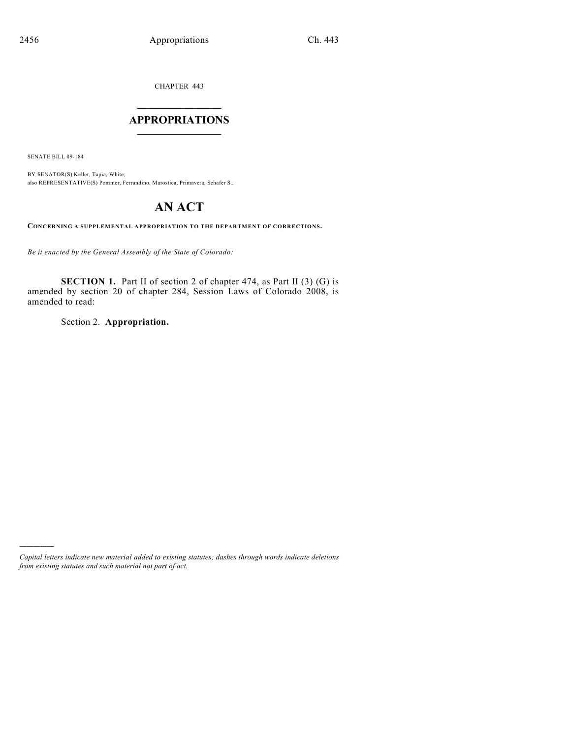CHAPTER 443

# $\overline{\phantom{a}}$  . The set of the set of the set of the set of the set of the set of the set of the set of the set of the set of the set of the set of the set of the set of the set of the set of the set of the set of the set o **APPROPRIATIONS**  $\_$   $\_$   $\_$   $\_$   $\_$   $\_$   $\_$   $\_$

SENATE BILL 09-184

)))))

BY SENATOR(S) Keller, Tapia, White; also REPRESENTATIVE(S) Pommer, Ferrandino, Marostica, Primavera, Schafer S..

# **AN ACT**

**CONCERNING A SUPPLEMENTAL APPROPRIATION TO THE DEPARTMENT OF CORRECTIONS.**

*Be it enacted by the General Assembly of the State of Colorado:*

**SECTION 1.** Part II of section 2 of chapter 474, as Part II (3) (G) is amended by section 20 of chapter 284, Session Laws of Colorado 2008, is amended to read:

Section 2. **Appropriation.**

*Capital letters indicate new material added to existing statutes; dashes through words indicate deletions from existing statutes and such material not part of act.*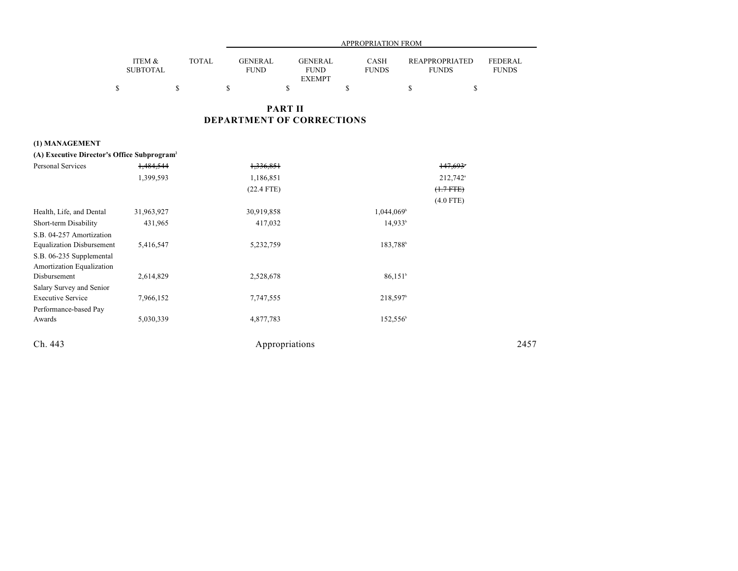|                           |              | APPROPRIATION FROM            |                        |                             |                                       |                                |  |  |  |  |  |
|---------------------------|--------------|-------------------------------|------------------------|-----------------------------|---------------------------------------|--------------------------------|--|--|--|--|--|
| ITEM &<br><b>SUBTOTAL</b> | <b>TOTAL</b> | <b>GENERAL</b><br><b>FUND</b> | GENERAL<br><b>FUND</b> | <b>CASH</b><br><b>FUNDS</b> | <b>REAPPROPRIATED</b><br><b>FUNDS</b> | <b>FEDERAL</b><br><b>FUNDS</b> |  |  |  |  |  |
|                           |              |                               | <b>EXEMPT</b>          |                             |                                       |                                |  |  |  |  |  |
|                           |              |                               |                        |                             |                                       |                                |  |  |  |  |  |

# **PART II DEPARTMENT OF CORRECTIONS**

#### **(1) MANAGEMENT**

| (A) Executive Director's Office Subprogram <sup>2</sup> |            |                |                        |                      |      |  |  |  |
|---------------------------------------------------------|------------|----------------|------------------------|----------------------|------|--|--|--|
| Personal Services                                       | 1,484,544  | 1,336,851      |                        | 147,693*             |      |  |  |  |
|                                                         | 1,399,593  | 1,186,851      |                        | 212,742 <sup>a</sup> |      |  |  |  |
|                                                         |            | $(22.4$ FTE)   |                        | $(1.7 FTE)$          |      |  |  |  |
|                                                         |            |                |                        | $(4.0$ FTE)          |      |  |  |  |
| Health, Life, and Dental                                | 31,963,927 | 30,919,858     | 1,044,069              |                      |      |  |  |  |
| Short-term Disability                                   | 431,965    | 417,032        | 14,933 <sup>b</sup>    |                      |      |  |  |  |
| S.B. 04-257 Amortization                                |            |                |                        |                      |      |  |  |  |
| <b>Equalization Disbursement</b>                        | 5,416,547  | 5,232,759      | 183,788 <sup>b</sup>   |                      |      |  |  |  |
| S.B. 06-235 Supplemental                                |            |                |                        |                      |      |  |  |  |
| Amortization Equalization                               |            |                |                        |                      |      |  |  |  |
| Disbursement                                            | 2,614,829  | 2,528,678      | 86.151 <sup>b</sup>    |                      |      |  |  |  |
| Salary Survey and Senior                                |            |                |                        |                      |      |  |  |  |
| <b>Executive Service</b>                                | 7,966,152  | 7,747,555      | $218,597$ <sup>b</sup> |                      |      |  |  |  |
| Performance-based Pay                                   |            |                |                        |                      |      |  |  |  |
| Awards                                                  | 5,030,339  | 4,877,783      | $152,556^{\circ}$      |                      |      |  |  |  |
| Ch. 443                                                 |            | Appropriations |                        |                      | 2457 |  |  |  |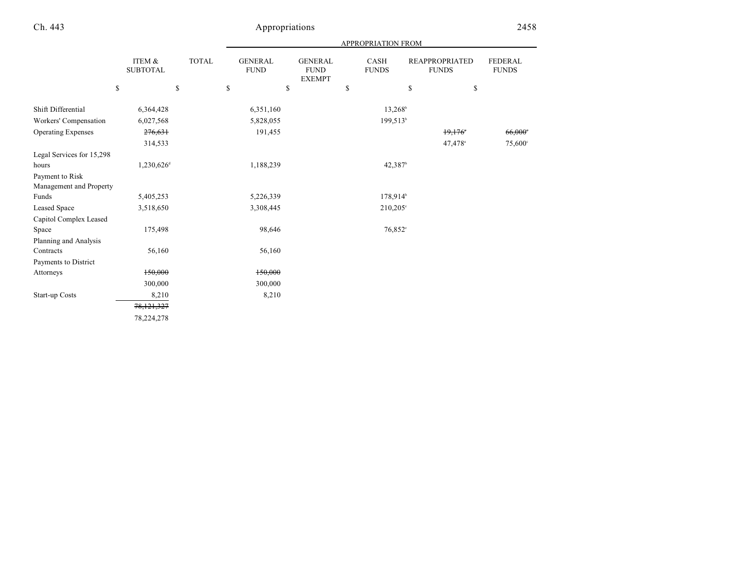|                                            |                           |              | APPROPRIATION FROM            |                                                |    |                             |                                       |                                |  |  |  |
|--------------------------------------------|---------------------------|--------------|-------------------------------|------------------------------------------------|----|-----------------------------|---------------------------------------|--------------------------------|--|--|--|
|                                            | ITEM &<br><b>SUBTOTAL</b> | <b>TOTAL</b> | <b>GENERAL</b><br><b>FUND</b> | <b>GENERAL</b><br><b>FUND</b><br><b>EXEMPT</b> |    | <b>CASH</b><br><b>FUNDS</b> | <b>REAPPROPRIATED</b><br><b>FUNDS</b> | <b>FEDERAL</b><br><b>FUNDS</b> |  |  |  |
|                                            | \$                        | $\mathbb{S}$ | \$                            | \$                                             | \$ |                             | \$                                    | \$                             |  |  |  |
| Shift Differential                         | 6,364,428                 |              | 6,351,160                     |                                                |    | $13,268^{\circ}$            |                                       |                                |  |  |  |
| Workers' Compensation                      | 6,027,568                 |              | 5,828,055                     |                                                |    | 199,513 <sup>b</sup>        |                                       |                                |  |  |  |
| <b>Operating Expenses</b>                  | 276,631                   |              | 191,455                       |                                                |    |                             | 19,176                                | 66,000                         |  |  |  |
|                                            | 314,533                   |              |                               |                                                |    |                             | 47,478 <sup>a</sup>                   | 75,600°                        |  |  |  |
| Legal Services for 15,298<br>hours         | 1,230,626 <sup>d</sup>    |              | 1,188,239                     |                                                |    | 42,387 <sup>b</sup>         |                                       |                                |  |  |  |
| Payment to Risk<br>Management and Property |                           |              |                               |                                                |    |                             |                                       |                                |  |  |  |
| Funds                                      | 5,405,253                 |              | 5,226,339                     |                                                |    | 178,914 <sup>b</sup>        |                                       |                                |  |  |  |
| <b>Leased Space</b>                        | 3,518,650                 |              | 3,308,445                     |                                                |    | $210,205^{\circ}$           |                                       |                                |  |  |  |
| Capitol Complex Leased<br>Space            | 175,498                   |              | 98,646                        |                                                |    | 76,852 <sup>e</sup>         |                                       |                                |  |  |  |
| Planning and Analysis<br>Contracts         | 56,160                    |              | 56,160                        |                                                |    |                             |                                       |                                |  |  |  |
| Payments to District                       |                           |              |                               |                                                |    |                             |                                       |                                |  |  |  |
| Attorneys                                  | 150,000                   |              | 150,000                       |                                                |    |                             |                                       |                                |  |  |  |
|                                            | 300,000                   |              | 300,000                       |                                                |    |                             |                                       |                                |  |  |  |
| Start-up Costs                             | 8,210                     |              | 8,210                         |                                                |    |                             |                                       |                                |  |  |  |
|                                            | 78,121,327                |              |                               |                                                |    |                             |                                       |                                |  |  |  |
|                                            | 78,224,278                |              |                               |                                                |    |                             |                                       |                                |  |  |  |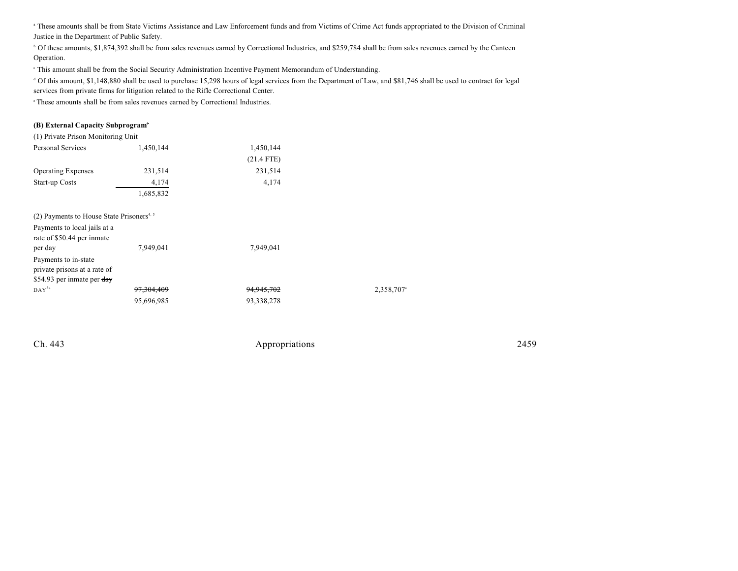<sup>a</sup> These amounts shall be from State Victims Assistance and Law Enforcement funds and from Victims of Crime Act funds appropriated to the Division of Criminal Justice in the Department of Public Safety.

<sup>b</sup> Of these amounts, \$1,874,392 shall be from sales revenues earned by Correctional Industries, and \$259,784 shall be from sales revenues earned by the Canteen Operation.

This amount shall be from the Social Security Administration Incentive Payment Memorandum of Understanding. <sup>c</sup>

 Of this amount, \$1,148,880 shall be used to purchase 15,298 hours of legal services from the Department of Law, and \$81,746 shall be used to contract for legal <sup>d</sup> services from private firms for litigation related to the Rifle Correctional Center.

 $\degree$ These amounts shall be from sales revenues earned by Correctional Industries.

#### **(B) External Capacity Subprogram**<sup>3</sup>

| (1) Private Prison Monitoring Unit                    |                       |                       |           |
|-------------------------------------------------------|-----------------------|-----------------------|-----------|
| Personal Services                                     | 1,450,144             | 1,450,144             |           |
|                                                       |                       | $(21.4$ FTE)          |           |
| <b>Operating Expenses</b>                             | 231,514               | 231,514               |           |
| Start-up Costs                                        | 4,174                 | 4,174                 |           |
|                                                       | 1,685,832             |                       |           |
| (2) Payments to House State Prisoners <sup>4, 5</sup> |                       |                       |           |
| Payments to local jails at a                          |                       |                       |           |
| rate of \$50.44 per inmate                            |                       |                       |           |
| per day                                               | 7,949,041             | 7,949,041             |           |
| Payments to in-state                                  |                       |                       |           |
| private prisons at a rate of                          |                       |                       |           |
| \$54.93 per inmate per day                            |                       |                       |           |
| $DAY^{5a}$                                            | <del>97,304,409</del> | <del>94,945,702</del> | 2,358,707 |
|                                                       | 95,696,985            | 93,338,278            |           |
|                                                       |                       |                       |           |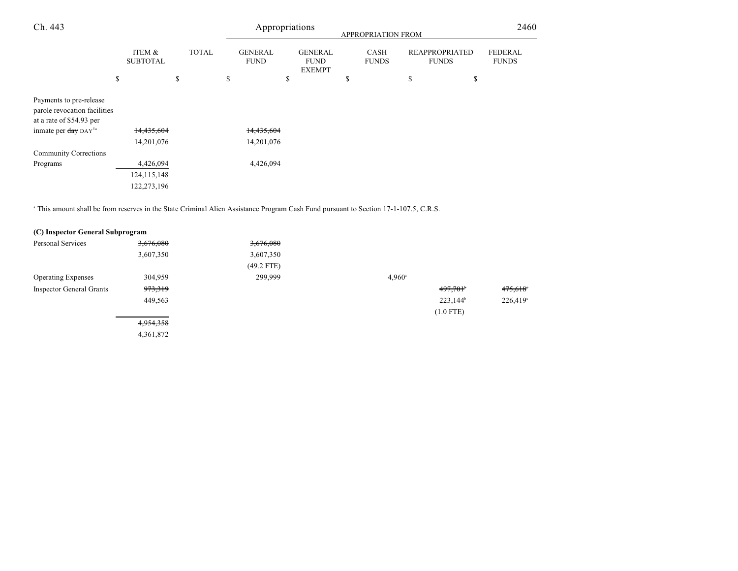| Ch. 443                                                                             |                           |    |              |    | Appropriations<br>APPROPRIATION FROM |    |                                                |    |                             |    | 2460                                  |                                |
|-------------------------------------------------------------------------------------|---------------------------|----|--------------|----|--------------------------------------|----|------------------------------------------------|----|-----------------------------|----|---------------------------------------|--------------------------------|
|                                                                                     | ITEM &<br><b>SUBTOTAL</b> |    | <b>TOTAL</b> |    | <b>GENERAL</b><br><b>FUND</b>        |    | <b>GENERAL</b><br><b>FUND</b><br><b>EXEMPT</b> |    | <b>CASH</b><br><b>FUNDS</b> |    | <b>REAPPROPRIATED</b><br><b>FUNDS</b> | <b>FEDERAL</b><br><b>FUNDS</b> |
|                                                                                     | \$                        | \$ |              | \$ |                                      | \$ |                                                | \$ |                             | \$ | \$                                    |                                |
| Payments to pre-release<br>parole revocation facilities<br>at a rate of \$54.93 per |                           |    |              |    |                                      |    |                                                |    |                             |    |                                       |                                |
| inmate per day DAY <sup>5a</sup>                                                    | 14,435,604                |    |              |    | 14,435,604                           |    |                                                |    |                             |    |                                       |                                |
|                                                                                     | 14,201,076                |    |              |    | 14,201,076                           |    |                                                |    |                             |    |                                       |                                |
| <b>Community Corrections</b>                                                        |                           |    |              |    |                                      |    |                                                |    |                             |    |                                       |                                |
| Programs                                                                            | 4,426,094                 |    |              |    | 4,426,094                            |    |                                                |    |                             |    |                                       |                                |
|                                                                                     | 124, 115, 148             |    |              |    |                                      |    |                                                |    |                             |    |                                       |                                |
|                                                                                     | 122,273,196               |    |              |    |                                      |    |                                                |    |                             |    |                                       |                                |

<sup>a</sup> This amount shall be from reserves in the State Criminal Alien Assistance Program Cash Fund pursuant to Section 17-1-107.5, C.R.S.

| (C) Inspector General Subprogram |                    |              |                 |             |          |
|----------------------------------|--------------------|--------------|-----------------|-------------|----------|
| Personal Services                | 3,676,080          | 3,676,080    |                 |             |          |
|                                  | 3,607,350          | 3,607,350    |                 |             |          |
|                                  |                    | $(49.2$ FTE) |                 |             |          |
| <b>Operating Expenses</b>        | 304,959            | 299,999      | $4.960^{\circ}$ |             |          |
| <b>Inspector General Grants</b>  | <del>973,319</del> |              |                 | 497,701     | 475,618° |
|                                  | 449,563            |              |                 | $223,144^b$ | 226,419° |
|                                  |                    |              |                 | $(1.0$ FTE) |          |
|                                  | 4,954,358          |              |                 |             |          |
|                                  | 4,361,872          |              |                 |             |          |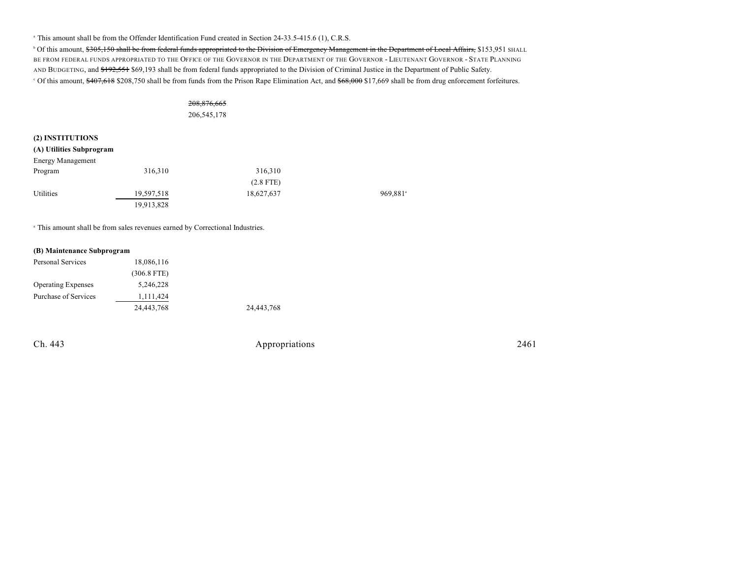<sup>a</sup> This amount shall be from the Offender Identification Fund created in Section 24-33.5-415.6 (1), C.R.S.

<sup>b</sup> Of this amount, \$305,150 shall be from federal funds appropriated to the Division of Emergency Management in the Department of Local Affairs, \$153,951 SHALL BE FROM FEDERAL FUNDS APPROPRIATED TO THE OFFICE OF THE GOVERNOR IN THE DEPARTMENT OF THE GOVERNOR - LIEUTENANT GOVERNOR - STATE PLANNING AND BUDGETING, and \$192,551 \$69,193 shall be from federal funds appropriated to the Division of Criminal Justice in the Department of Public Safety. <sup>c</sup> Of this amount, \$407,618 \$208,750 shall be from funds from the Prison Rape Elimination Act, and \$68,000 \$17,669 shall be from drug enforcement forfeitures.

# 208,876,665

206,545,178

#### **(2) INSTITUTIONS**

| (A) Utilities Subprogram |            |             |         |
|--------------------------|------------|-------------|---------|
| <b>Energy Management</b> |            |             |         |
| Program                  | 316,310    | 316,310     |         |
|                          |            | $(2.8$ FTE) |         |
| Utilities                | 19,597,518 | 18,627,637  | 969,881 |
|                          | 19,913,828 |             |         |

<sup>a</sup> This amount shall be from sales revenues earned by Correctional Industries.

#### **(B) Maintenance Subprogram**

| Personal Services         | 18,086,116    |            |
|---------------------------|---------------|------------|
|                           | $(306.8$ FTE) |            |
| <b>Operating Expenses</b> | 5,246,228     |            |
| Purchase of Services      | 1,111,424     |            |
|                           | 24,443,768    | 24,443,768 |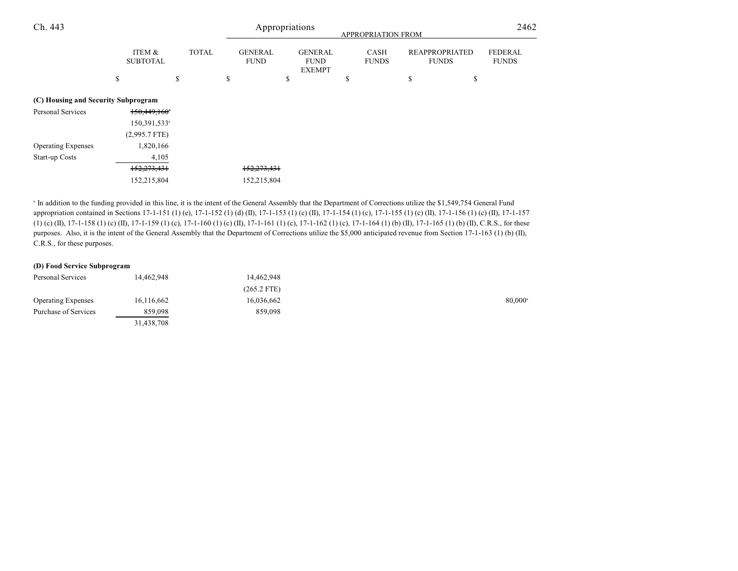| Ch. 443                             |                           |    |              | Appropriations<br><b>APPROPRIATION FROM</b> |                               |    |                                                |   |                             |    | 2462                                  |                                |
|-------------------------------------|---------------------------|----|--------------|---------------------------------------------|-------------------------------|----|------------------------------------------------|---|-----------------------------|----|---------------------------------------|--------------------------------|
|                                     | ITEM &<br><b>SUBTOTAL</b> |    | <b>TOTAL</b> |                                             | <b>GENERAL</b><br><b>FUND</b> |    | <b>GENERAL</b><br><b>FUND</b><br><b>EXEMPT</b> |   | <b>CASH</b><br><b>FUNDS</b> |    | <b>REAPPROPRIATED</b><br><b>FUNDS</b> | <b>FEDERAL</b><br><b>FUNDS</b> |
|                                     | \$                        | \$ |              | \$                                          |                               | \$ |                                                | S |                             | \$ | \$                                    |                                |
| (C) Housing and Security Subprogram |                           |    |              |                                             |                               |    |                                                |   |                             |    |                                       |                                |
| Personal Services                   | 150,449,160               |    |              |                                             |                               |    |                                                |   |                             |    |                                       |                                |
|                                     | 150,391,533 <sup>a</sup>  |    |              |                                             |                               |    |                                                |   |                             |    |                                       |                                |
|                                     | $(2,995.7$ FTE)           |    |              |                                             |                               |    |                                                |   |                             |    |                                       |                                |
| <b>Operating Expenses</b>           | 1,820,166                 |    |              |                                             |                               |    |                                                |   |                             |    |                                       |                                |
| Start-up Costs                      | 4,105                     |    |              |                                             |                               |    |                                                |   |                             |    |                                       |                                |
|                                     | 152,273,431               |    |              |                                             | 152,273,431                   |    |                                                |   |                             |    |                                       |                                |
|                                     | 152,215,804               |    |              |                                             | 152,215,804                   |    |                                                |   |                             |    |                                       |                                |

<sup>a</sup> In addition to the funding provided in this line, it is the intent of the General Assembly that the Department of Corrections utilize the \$1,549,754 General Fund appropriation contained in Sections 17-1-151 (1) (e), 17-1-152 (1) (d) (II), 17-1-153 (1) (c) (II), 17-1-154 (1) (c), 17-1-155 (1) (c) (II), 17-1-156 (1) (c) (II), 17-1-157 (1) (c) (II), 17-1-158 (1) (c) (II), 17-1-159 (1) (c), 17-1-160 (1) (c) (II), 17-1-161 (1) (c), 17-1-162 (1) (c), 17-1-164 (1) (b) (II), 17-1-165 (1) (b) (II), C.R.S., for these purposes. Also, it is the intent of the General Assembly that the Department of Corrections utilize the \$5,000 anticipated revenue from Section 17-1-163 (1) (b) (II), C.R.S., for these purposes.

#### **(D) Food Service Subprogram**

| Personal Services         | 14.462.948 | 14,462,948    |        |
|---------------------------|------------|---------------|--------|
|                           |            | $(265.2$ FTE) |        |
| <b>Operating Expenses</b> | 16,116,662 | 16,036,662    | 80,000 |
| Purchase of Services      | 859,098    | 859,098       |        |
|                           | 31,438,708 |               |        |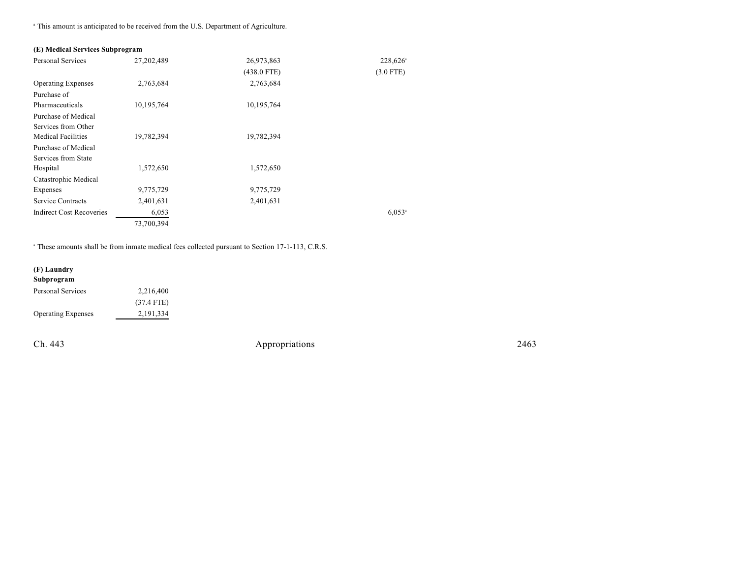<sup>a</sup> This amount is anticipated to be received from the U.S. Department of Agriculture.

## **(E) Medical Services Subprogram**

| <b>Personal Services</b>        | 27,202,489 | 26,973,863    | 228,626 <sup>a</sup> |
|---------------------------------|------------|---------------|----------------------|
|                                 |            | $(438.0$ FTE) | $(3.0$ FTE)          |
| <b>Operating Expenses</b>       | 2,763,684  | 2,763,684     |                      |
| Purchase of                     |            |               |                      |
| Pharmaceuticals                 | 10,195,764 | 10,195,764    |                      |
| Purchase of Medical             |            |               |                      |
| Services from Other             |            |               |                      |
| <b>Medical Facilities</b>       | 19,782,394 | 19,782,394    |                      |
| Purchase of Medical             |            |               |                      |
| Services from State             |            |               |                      |
| Hospital                        | 1,572,650  | 1,572,650     |                      |
| Catastrophic Medical            |            |               |                      |
| Expenses                        | 9,775,729  | 9,775,729     |                      |
| <b>Service Contracts</b>        | 2,401,631  | 2,401,631     |                      |
| <b>Indirect Cost Recoveries</b> | 6,053      |               | $6,053$ <sup>a</sup> |
|                                 | 73,700,394 |               |                      |

<sup>a</sup> These amounts shall be from inmate medical fees collected pursuant to Section 17-1-113, C.R.S.

# **(F) Laundry Subprogram** Personal Services 2,216,400 (37.4 FTE) Operating Expenses 2,191,334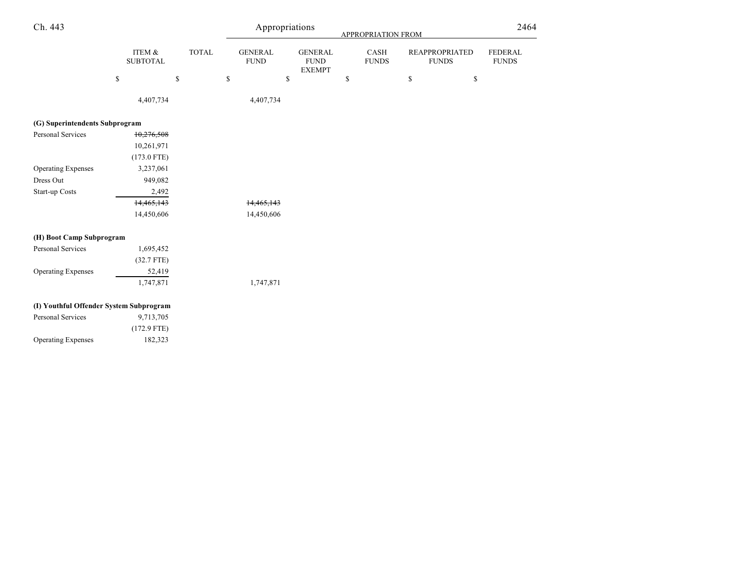| Ch. 443                                 |                           |              |    |                               | Appropriations                                 | <b>APPROPRIATION FROM</b> |                      |              |                                       | 2464                           |  |
|-----------------------------------------|---------------------------|--------------|----|-------------------------------|------------------------------------------------|---------------------------|----------------------|--------------|---------------------------------------|--------------------------------|--|
|                                         | ITEM &<br><b>SUBTOTAL</b> | <b>TOTAL</b> |    | <b>GENERAL</b><br><b>FUND</b> | <b>GENERAL</b><br><b>FUND</b><br><b>EXEMPT</b> |                           | CASH<br><b>FUNDS</b> |              | <b>REAPPROPRIATED</b><br><b>FUNDS</b> | <b>FEDERAL</b><br><b>FUNDS</b> |  |
|                                         | \$                        | $\mathbb{S}$ | \$ | $\mathbb{S}$                  |                                                | \$                        |                      | $\mathbb{S}$ | \$                                    |                                |  |
|                                         | 4,407,734                 |              |    | 4,407,734                     |                                                |                           |                      |              |                                       |                                |  |
| (G) Superintendents Subprogram          |                           |              |    |                               |                                                |                           |                      |              |                                       |                                |  |
| Personal Services                       | 10,276,508                |              |    |                               |                                                |                           |                      |              |                                       |                                |  |
|                                         | 10,261,971                |              |    |                               |                                                |                           |                      |              |                                       |                                |  |
|                                         | $(173.0$ FTE)             |              |    |                               |                                                |                           |                      |              |                                       |                                |  |
| <b>Operating Expenses</b>               | 3,237,061                 |              |    |                               |                                                |                           |                      |              |                                       |                                |  |
| Dress Out                               | 949,082                   |              |    |                               |                                                |                           |                      |              |                                       |                                |  |
| Start-up Costs                          | 2,492                     |              |    |                               |                                                |                           |                      |              |                                       |                                |  |
|                                         | 14,465,143                |              |    | 14,465,143                    |                                                |                           |                      |              |                                       |                                |  |
|                                         | 14,450,606                |              |    | 14,450,606                    |                                                |                           |                      |              |                                       |                                |  |
| (H) Boot Camp Subprogram                |                           |              |    |                               |                                                |                           |                      |              |                                       |                                |  |
| Personal Services                       | 1,695,452                 |              |    |                               |                                                |                           |                      |              |                                       |                                |  |
|                                         | $(32.7$ FTE)              |              |    |                               |                                                |                           |                      |              |                                       |                                |  |
| <b>Operating Expenses</b>               | 52,419                    |              |    |                               |                                                |                           |                      |              |                                       |                                |  |
|                                         | 1,747,871                 |              |    | 1,747,871                     |                                                |                           |                      |              |                                       |                                |  |
| (I) Youthful Offender System Subprogram |                           |              |    |                               |                                                |                           |                      |              |                                       |                                |  |
| Personal Services                       | 9,713,705                 |              |    |                               |                                                |                           |                      |              |                                       |                                |  |
|                                         | $(172.9$ FTE)             |              |    |                               |                                                |                           |                      |              |                                       |                                |  |
| <b>Operating Expenses</b>               | 182,323                   |              |    |                               |                                                |                           |                      |              |                                       |                                |  |
|                                         |                           |              |    |                               |                                                |                           |                      |              |                                       |                                |  |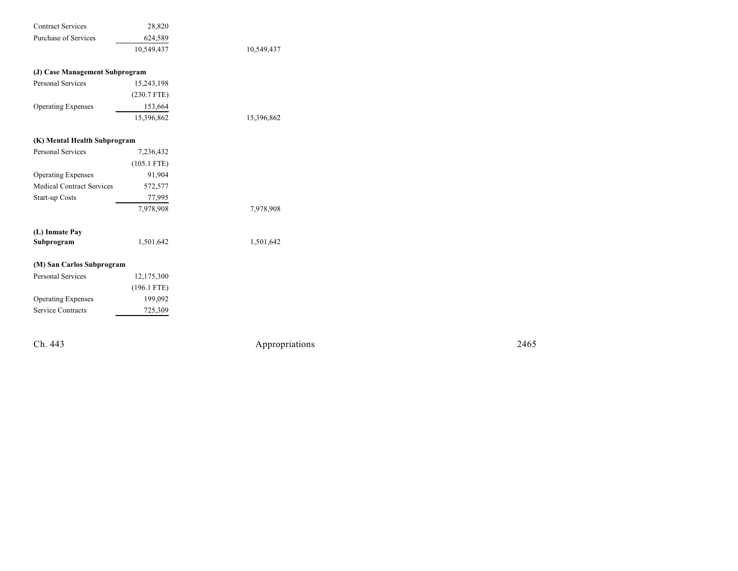| <b>Contract Services</b>         | 28,820        |            |
|----------------------------------|---------------|------------|
| <b>Purchase of Services</b>      | 624,589       |            |
|                                  | 10,549,437    | 10,549,437 |
|                                  |               |            |
| (J) Case Management Subprogram   |               |            |
| <b>Personal Services</b>         | 15,243,198    |            |
|                                  | $(230.7$ FTE) |            |
| <b>Operating Expenses</b>        | 153,664       |            |
|                                  | 15,396,862    | 15,396,862 |
| (K) Mental Health Subprogram     |               |            |
| <b>Personal Services</b>         | 7,236,432     |            |
|                                  | $(105.1$ FTE) |            |
|                                  |               |            |
| <b>Operating Expenses</b>        | 91,904        |            |
| <b>Medical Contract Services</b> | 572,577       |            |
| Start-up Costs                   | 77,995        |            |
|                                  | 7,978,908     | 7,978,908  |
| (L) Inmate Pay                   |               |            |
| Subprogram                       | 1,501,642     | 1,501,642  |
| (M) San Carlos Subprogram        |               |            |
| <b>Personal Services</b>         | 12,175,300    |            |
|                                  | $(196.1$ FTE) |            |
| <b>Operating Expenses</b>        | 199,092       |            |
| Service Contracts                | 725,309       |            |
|                                  |               |            |

Ch. 443

Appropr iat

ions 2465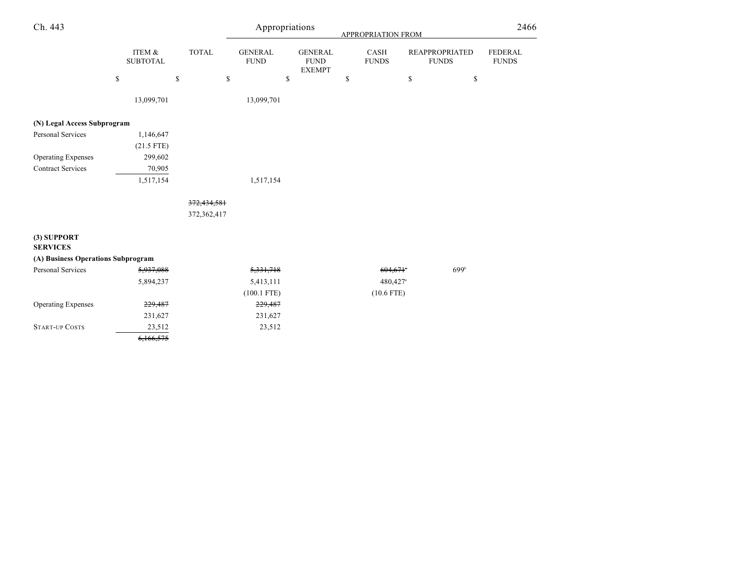| Ch. 443                            |                           |              | Appropriations                |                                                | APPROPRIATION FROM     |                                       | 2466                           |
|------------------------------------|---------------------------|--------------|-------------------------------|------------------------------------------------|------------------------|---------------------------------------|--------------------------------|
|                                    | ITEM &<br><b>SUBTOTAL</b> | <b>TOTAL</b> | <b>GENERAL</b><br><b>FUND</b> | <b>GENERAL</b><br><b>FUND</b><br><b>EXEMPT</b> | CASH<br><b>FUNDS</b>   | <b>REAPPROPRIATED</b><br><b>FUNDS</b> | <b>FEDERAL</b><br><b>FUNDS</b> |
|                                    | $\mathbb{S}$<br>\$        | \$           | \$                            |                                                | \$<br>\$               | \$                                    |                                |
|                                    | 13,099,701                |              | 13,099,701                    |                                                |                        |                                       |                                |
| (N) Legal Access Subprogram        |                           |              |                               |                                                |                        |                                       |                                |
| Personal Services                  | 1,146,647                 |              |                               |                                                |                        |                                       |                                |
|                                    | $(21.5$ FTE)              |              |                               |                                                |                        |                                       |                                |
| <b>Operating Expenses</b>          | 299,602                   |              |                               |                                                |                        |                                       |                                |
| <b>Contract Services</b>           | 70,905                    |              |                               |                                                |                        |                                       |                                |
|                                    | 1,517,154                 |              | 1,517,154                     |                                                |                        |                                       |                                |
|                                    |                           | 372,434,581  |                               |                                                |                        |                                       |                                |
|                                    |                           | 372,362,417  |                               |                                                |                        |                                       |                                |
| (3) SUPPORT<br><b>SERVICES</b>     |                           |              |                               |                                                |                        |                                       |                                |
| (A) Business Operations Subprogram |                           |              |                               |                                                |                        |                                       |                                |
| Personal Services                  | 5,937,088                 |              | 5,331,718                     |                                                | $604,671$ <sup>*</sup> | 699 <sup>b</sup>                      |                                |
|                                    | 5,894,237                 |              | 5,413,111                     |                                                | 480,427ª               |                                       |                                |
|                                    |                           |              | $(100.1$ FTE)                 |                                                | $(10.6$ FTE)           |                                       |                                |
| <b>Operating Expenses</b>          | 229,487                   |              | 229,487                       |                                                |                        |                                       |                                |
|                                    | 231,627                   |              | 231,627                       |                                                |                        |                                       |                                |
| <b>START-UP COSTS</b>              | 23,512                    |              | 23,512                        |                                                |                        |                                       |                                |
|                                    | 6,166,575                 |              |                               |                                                |                        |                                       |                                |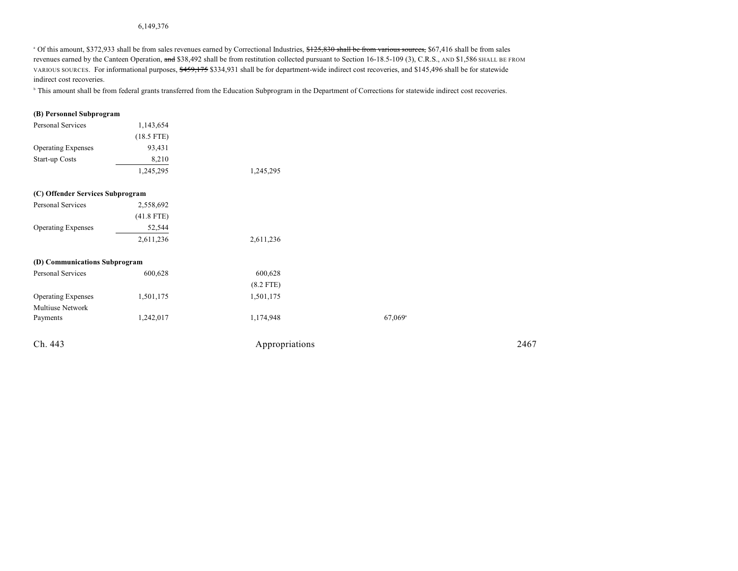#### 6,149,376

<sup>a</sup> Of this amount, \$372,933 shall be from sales revenues earned by Correctional Industries, \$125,830 shall be from various sources, \$67,416 shall be from sales revenues earned by the Canteen Operation, and \$38,492 shall be from restitution collected pursuant to Section 16-18.5-109 (3), C.R.S., AND \$1,586 SHALL BE FROM VARIOUS SOURCES. For informational purposes, \$459,175 \$334,931 shall be for department-wide indirect cost recoveries, and \$145,496 shall be for statewide indirect cost recoveries.

<sup>b</sup> This amount shall be from federal grants transferred from the Education Subprogram in the Department of Corrections for statewide indirect cost recoveries.

#### **(B) Personnel Subprogram**

| 1,143,654    |                                                                   |                       |      |
|--------------|-------------------------------------------------------------------|-----------------------|------|
| $(18.5$ FTE) |                                                                   |                       |      |
| 93,431       |                                                                   |                       |      |
| 8,210        |                                                                   |                       |      |
| 1,245,295    | 1,245,295                                                         |                       |      |
|              |                                                                   |                       |      |
| 2,558,692    |                                                                   |                       |      |
| $(41.8$ FTE) |                                                                   |                       |      |
| 52,544       |                                                                   |                       |      |
| 2,611,236    | 2,611,236                                                         |                       |      |
|              |                                                                   |                       |      |
| 600,628      | 600,628                                                           |                       |      |
|              | $(8.2$ FTE)                                                       |                       |      |
| 1,501,175    | 1,501,175                                                         |                       |      |
|              |                                                                   |                       |      |
| 1,242,017    | 1,174,948                                                         | $67,069$ <sup>a</sup> |      |
|              |                                                                   |                       | 2467 |
|              | (C) Offender Services Subprogram<br>(D) Communications Subprogram | Appropriations        |      |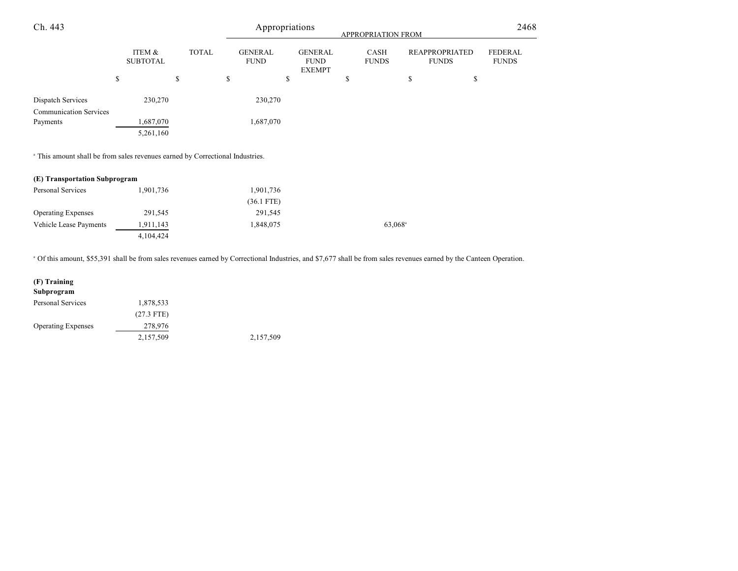| Ch. 443                                            |                           |              | Appropriations<br><b>APPROPRIATION FROM</b> |                                                |                      |                                       | 2468                           |  |
|----------------------------------------------------|---------------------------|--------------|---------------------------------------------|------------------------------------------------|----------------------|---------------------------------------|--------------------------------|--|
|                                                    | ITEM &<br><b>SUBTOTAL</b> | <b>TOTAL</b> | <b>GENERAL</b><br><b>FUND</b>               | <b>GENERAL</b><br><b>FUND</b><br><b>EXEMPT</b> | CASH<br><b>FUNDS</b> | <b>REAPPROPRIATED</b><br><b>FUNDS</b> | <b>FEDERAL</b><br><b>FUNDS</b> |  |
|                                                    | \$                        | \$           | \$                                          | \$                                             | S                    | \$<br>\$                              |                                |  |
| Dispatch Services<br><b>Communication Services</b> | 230,270                   |              | 230,270                                     |                                                |                      |                                       |                                |  |
| Payments                                           | 1,687,070<br>5,261,160    |              | 1,687,070                                   |                                                |                      |                                       |                                |  |

<sup>a</sup> This amount shall be from sales revenues earned by Correctional Industries.

| (E) Transportation Subprogram |           |              |  |  |  |
|-------------------------------|-----------|--------------|--|--|--|
| Personal Services             | 1.901.736 | 1,901,736    |  |  |  |
|                               |           | $(36.1$ FTE) |  |  |  |

TE) Operating Expenses 291,545 291,545 Vehicle Lease Payments 1,911,143 1,848,075 63,068<sup>a</sup> 4,104,424

Of this amount, \$55,391 shall be from sales revenues earned by Correctional Industries, and \$7,677 shall be from sales revenues earned by the Canteen Operation. <sup>a</sup>

| (F) Training              |              |           |
|---------------------------|--------------|-----------|
| Subprogram                |              |           |
| <b>Personal Services</b>  | 1,878,533    |           |
|                           | $(27.3$ FTE) |           |
| <b>Operating Expenses</b> | 278,976      |           |
|                           | 2,157,509    | 2,157,509 |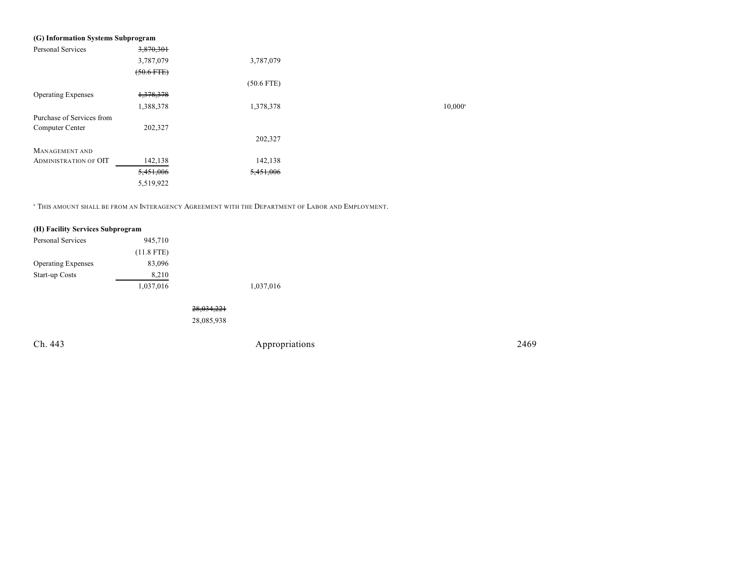| (G) Information Systems Subprogram |                 |              |                  |
|------------------------------------|-----------------|--------------|------------------|
| <b>Personal Services</b>           | 3,870,301       |              |                  |
|                                    | 3,787,079       | 3,787,079    |                  |
|                                    | $(50.6$ FTE $)$ |              |                  |
|                                    |                 | $(50.6$ FTE) |                  |
| <b>Operating Expenses</b>          | 1,378,378       |              |                  |
|                                    | 1,388,378       | 1,378,378    | $10,000^{\circ}$ |
| Purchase of Services from          |                 |              |                  |
| Computer Center                    | 202,327         |              |                  |
|                                    |                 | 202,327      |                  |
| <b>MANAGEMENT AND</b>              |                 |              |                  |
| <b>ADMINISTRATION OF OIT</b>       | 142,138         | 142,138      |                  |
|                                    | 5,451,006       | 5,451,006    |                  |
|                                    | 5,519,922       |              |                  |

 $\,^{\rm a}$  This amount shall be from an Interagency Agreement with the Department of Labor and Employment.

| (H) Facility Services Subprogram |              |            |                |      |
|----------------------------------|--------------|------------|----------------|------|
| Personal Services                | 945,710      |            |                |      |
|                                  | $(11.8$ FTE) |            |                |      |
| <b>Operating Expenses</b>        | 83,096       |            |                |      |
| Start-up Costs                   | 8,210        |            |                |      |
|                                  | 1,037,016    |            | 1,037,016      |      |
|                                  |              |            |                |      |
|                                  |              | 28,034,221 |                |      |
|                                  |              | 28,085,938 |                |      |
|                                  |              |            |                |      |
| Ch. 443                          |              |            | Appropriations | 2469 |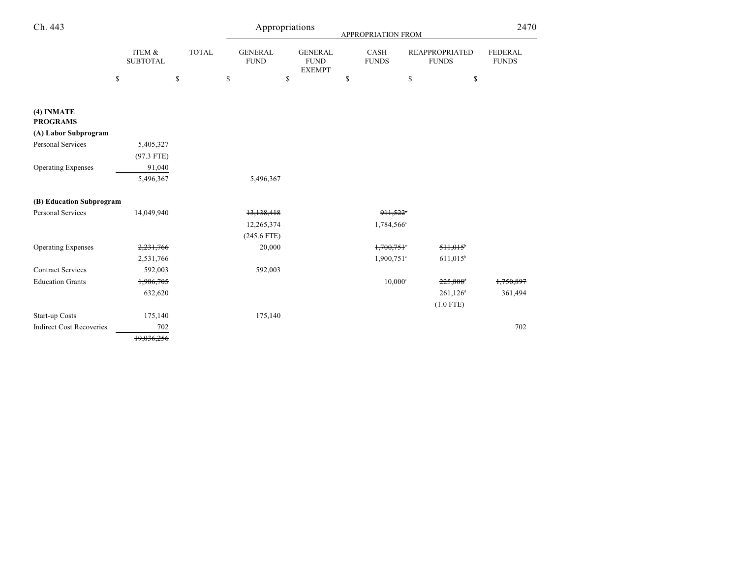| Ch. 443                         |                           |              | Appropriations                | 2470                                           |                             |                                       |                                |
|---------------------------------|---------------------------|--------------|-------------------------------|------------------------------------------------|-----------------------------|---------------------------------------|--------------------------------|
|                                 | ITEM &<br><b>SUBTOTAL</b> | <b>TOTAL</b> | <b>GENERAL</b><br><b>FUND</b> | <b>GENERAL</b><br><b>FUND</b><br><b>EXEMPT</b> | <b>CASH</b><br><b>FUNDS</b> | <b>REAPPROPRIATED</b><br><b>FUNDS</b> | <b>FEDERAL</b><br><b>FUNDS</b> |
|                                 | \$                        | $\mathbb{S}$ | $\mathbb{S}$                  | $\mathbb{S}$                                   | \$                          | $\mathbb{S}$<br>\$                    |                                |
| (4) INMATE<br><b>PROGRAMS</b>   |                           |              |                               |                                                |                             |                                       |                                |
| (A) Labor Subprogram            |                           |              |                               |                                                |                             |                                       |                                |
| <b>Personal Services</b>        | 5,405,327                 |              |                               |                                                |                             |                                       |                                |
|                                 | $(97.3$ FTE)              |              |                               |                                                |                             |                                       |                                |
| <b>Operating Expenses</b>       | 91,040                    |              |                               |                                                |                             |                                       |                                |
|                                 | 5,496,367                 |              | 5,496,367                     |                                                |                             |                                       |                                |
| (B) Education Subprogram        |                           |              |                               |                                                |                             |                                       |                                |
| <b>Personal Services</b>        | 14,049,940                |              | 13,138,418                    |                                                | 911,522*                    |                                       |                                |
|                                 |                           |              | 12,265,374                    |                                                | 1,784,566 <sup>a</sup>      |                                       |                                |
|                                 |                           |              | $(245.6$ FTE)                 |                                                |                             |                                       |                                |
| <b>Operating Expenses</b>       | 2,231,766                 |              | 20,000                        |                                                | 1,700,751                   | 511,015                               |                                |
|                                 | 2,531,766                 |              |                               |                                                | 1,900,751 <sup>a</sup>      | $611,015$ <sup>b</sup>                |                                |
| <b>Contract Services</b>        | 592,003                   |              | 592,003                       |                                                |                             |                                       |                                |
| <b>Education Grants</b>         | 1,986,705                 |              |                               |                                                | $10,000$ <sup>c</sup>       | 225,808 <sup>+</sup>                  | 1,750,897                      |
|                                 | 632,620                   |              |                               |                                                |                             | $261,126$ <sup>d</sup>                | 361,494                        |
|                                 |                           |              |                               |                                                |                             | $(1.0$ FTE)                           |                                |
| Start-up Costs                  | 175,140                   |              | 175,140                       |                                                |                             |                                       |                                |
| <b>Indirect Cost Recoveries</b> | 702                       |              |                               |                                                |                             |                                       | 702                            |
|                                 | 19,036,256                |              |                               |                                                |                             |                                       |                                |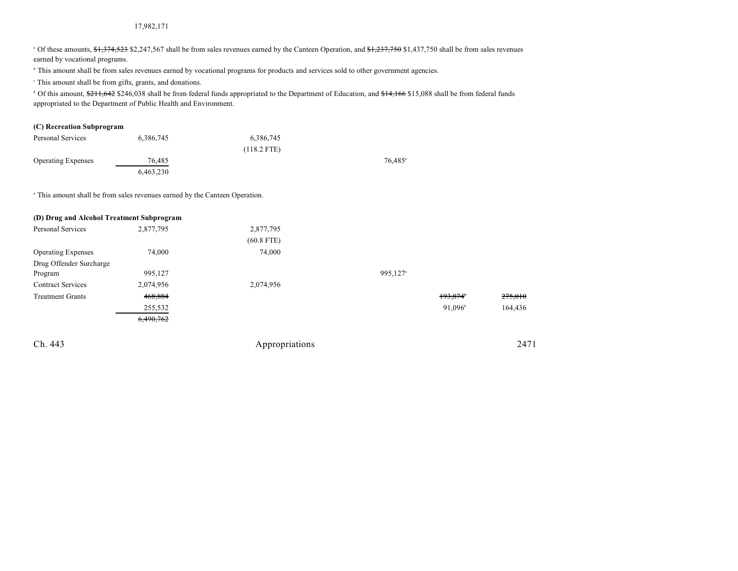#### 17,982,171

<sup>a</sup> Of these amounts, \$1,374,523 \$2,247,567 shall be from sales revenues earned by the Canteen Operation, and \$1,237,750 \$1,437,750 shall be from sales revenues earned by vocational programs.

<sup>h</sup> This amount shall be from sales revenues earned by vocational programs for products and services sold to other government agencies.

This amount shall be from gifts, grants, and donations. c

<sup>d</sup> Of this amount, \$211,642 \$246,038 shall be from federal funds appropriated to the Department of Education, and \$14,166 \$15,088 shall be from federal funds appropriated to the Department of Public Health and Environment.

#### **(C) Recreation Subprogram**

| Personal Services         | 6,386,745 | 6,386,745     |                     |
|---------------------------|-----------|---------------|---------------------|
|                           |           | $(118.2$ FTE) |                     |
| <b>Operating Expenses</b> | 76.485    |               | 76.485 <sup>a</sup> |
|                           | 6,463,230 |               |                     |

<sup>a</sup> This amount shall be from sales revenues earned by the Canteen Operation.

| (D) Drug and Alcohol Treatment Subprogram |           |                |                      |                  |         |
|-------------------------------------------|-----------|----------------|----------------------|------------------|---------|
| <b>Personal Services</b>                  | 2,877,795 | 2,877,795      |                      |                  |         |
|                                           |           | $(60.8$ FTE)   |                      |                  |         |
| <b>Operating Expenses</b>                 | 74,000    | 74,000         |                      |                  |         |
| Drug Offender Surcharge                   |           |                |                      |                  |         |
| Program                                   | 995,127   |                | 995,127 <sup>a</sup> |                  |         |
| <b>Contract Services</b>                  | 2,074,956 | 2,074,956      |                      |                  |         |
| <b>Treatment Grants</b>                   | 468,884   |                |                      | 193,874          | 275,010 |
|                                           | 255,532   |                |                      | $91,096^{\circ}$ | 164,436 |
|                                           | 6,490,762 |                |                      |                  |         |
| Ch. 443                                   |           | Appropriations |                      |                  | 2471    |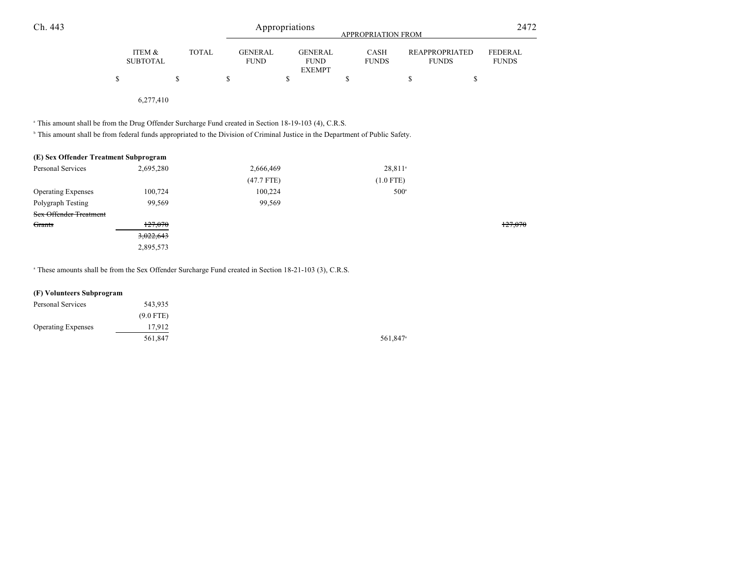| Ch. 443                                                                                                                                                                                                                                                       |                           |              |                               | Appropriations<br>APPROPRIATION FROM           |                      |                                       |                                |  |
|---------------------------------------------------------------------------------------------------------------------------------------------------------------------------------------------------------------------------------------------------------------|---------------------------|--------------|-------------------------------|------------------------------------------------|----------------------|---------------------------------------|--------------------------------|--|
|                                                                                                                                                                                                                                                               | ITEM &<br><b>SUBTOTAL</b> | <b>TOTAL</b> | <b>GENERAL</b><br><b>FUND</b> | <b>GENERAL</b><br><b>FUND</b><br><b>EXEMPT</b> | CASH<br><b>FUNDS</b> | <b>REAPPROPRIATED</b><br><b>FUNDS</b> | <b>FEDERAL</b><br><b>FUNDS</b> |  |
|                                                                                                                                                                                                                                                               | \$                        | \$           | \$                            | \$                                             | \$                   | \$                                    | \$                             |  |
|                                                                                                                                                                                                                                                               | 6,277,410                 |              |                               |                                                |                      |                                       |                                |  |
| <sup>a</sup> This amount shall be from the Drug Offender Surcharge Fund created in Section 18-19-103 (4), C.R.S.<br><sup>b</sup> This amount shall be from federal funds appropriated to the Division of Criminal Justice in the Department of Public Safety. |                           |              |                               |                                                |                      |                                       |                                |  |
| (E) Sex Offender Treatment Subprogram                                                                                                                                                                                                                         |                           |              |                               |                                                |                      |                                       |                                |  |
| Personal Services                                                                                                                                                                                                                                             | 2,695,280                 |              | 2,666,469                     |                                                | 28,811 <sup>a</sup>  |                                       |                                |  |
|                                                                                                                                                                                                                                                               |                           |              | $(47.7$ FTE)                  |                                                | $(1.0$ FTE)          |                                       |                                |  |
| <b>Operating Expenses</b>                                                                                                                                                                                                                                     | 100,724                   |              | 100,224                       |                                                |                      | $500^{\circ}$                         |                                |  |
| Polygraph Testing                                                                                                                                                                                                                                             | 99,569                    |              | 99,569                        |                                                |                      |                                       |                                |  |
| <b>Sex Offender Treatment</b>                                                                                                                                                                                                                                 |                           |              |                               |                                                |                      |                                       |                                |  |
| Grants                                                                                                                                                                                                                                                        | 127,070                   |              |                               |                                                |                      |                                       | 127,070                        |  |
|                                                                                                                                                                                                                                                               | 3,022,643                 |              |                               |                                                |                      |                                       |                                |  |
|                                                                                                                                                                                                                                                               | 2,895,573                 |              |                               |                                                |                      |                                       |                                |  |

<sup>a</sup> These amounts shall be from the Sex Offender Surcharge Fund created in Section 18-21-103 (3), C.R.S.

# **(F) Volunteers Subprogram**

| Personal Services         | 543,935     |
|---------------------------|-------------|
|                           | $(9.0$ FTE) |
| <b>Operating Expenses</b> | 17,912      |
|                           | 561.847     |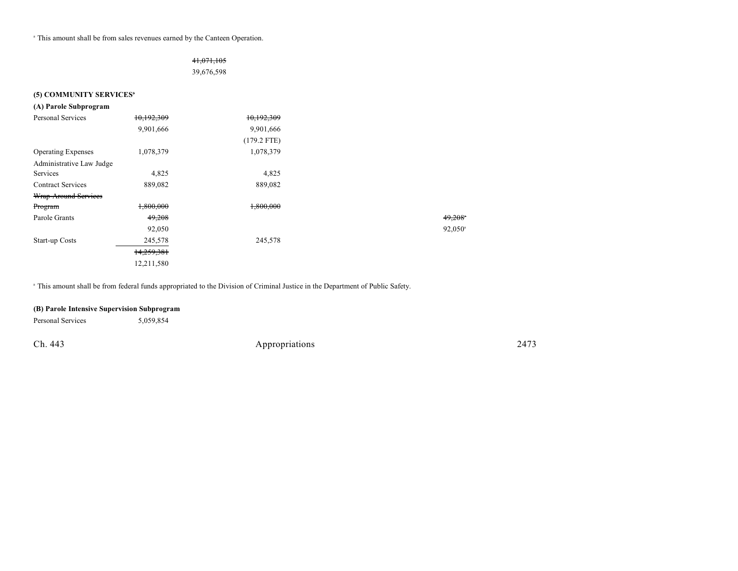<sup>a</sup> This amount shall be from sales revenues earned by the Canteen Operation.

### 41,071,105

39,676,598

#### **(5) COMMUNITY SERVICES<sup>3</sup>**

| (A) Parole Subprogram     |            |               |
|---------------------------|------------|---------------|
| <b>Personal Services</b>  | 10,192,309 | 10,192,309    |
|                           | 9,901,666  | 9,901,666     |
|                           |            | $(179.2$ FTE) |
| <b>Operating Expenses</b> | 1,078,379  | 1,078,379     |
| Administrative Law Judge  |            |               |
| Services                  | 4,825      | 4,825         |
| <b>Contract Services</b>  | 889,082    | 889,082       |
| Wrap-Around Services      |            |               |
| Program                   | 1,800,000  | 1,800,000     |
| Parole Grants             | 49,208     |               |
|                           | 92,050     |               |
| Start-up Costs            | 245,578    | 245,578       |
|                           | 14,259,381 |               |
|                           | 12,211,580 |               |

<sup>a</sup> This amount shall be from federal funds appropriated to the Division of Criminal Justice in the Department of Public Safety.

### **(B) Parole Intensive Supervision Subprogram**

Personal Services 5,059,854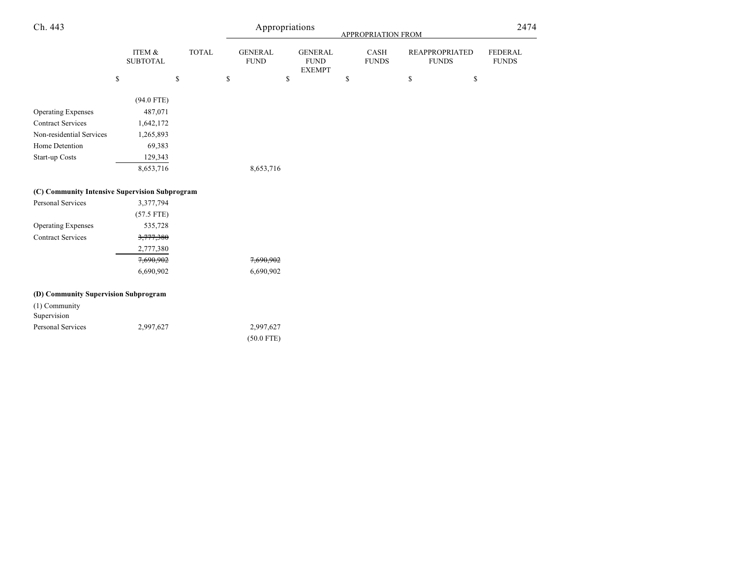| Ch. 443                                        |                              |              | Appropriations |                               |                                                | APPROPRIATION FROM |                      |              | 2474                                  |                                |  |
|------------------------------------------------|------------------------------|--------------|----------------|-------------------------------|------------------------------------------------|--------------------|----------------------|--------------|---------------------------------------|--------------------------------|--|
|                                                | ITEM $\&$<br><b>SUBTOTAL</b> | <b>TOTAL</b> |                | <b>GENERAL</b><br><b>FUND</b> | <b>GENERAL</b><br><b>FUND</b><br><b>EXEMPT</b> |                    | CASH<br><b>FUNDS</b> |              | <b>REAPPROPRIATED</b><br><b>FUNDS</b> | <b>FEDERAL</b><br><b>FUNDS</b> |  |
|                                                | ${\mathbb S}$                | \$           | \$             |                               | \$                                             | \$                 |                      | $\mathbb{S}$ | \$                                    |                                |  |
|                                                | $(94.0$ FTE)                 |              |                |                               |                                                |                    |                      |              |                                       |                                |  |
| <b>Operating Expenses</b>                      | 487,071                      |              |                |                               |                                                |                    |                      |              |                                       |                                |  |
| <b>Contract Services</b>                       | 1,642,172                    |              |                |                               |                                                |                    |                      |              |                                       |                                |  |
| Non-residential Services                       | 1,265,893                    |              |                |                               |                                                |                    |                      |              |                                       |                                |  |
| Home Detention                                 | 69,383                       |              |                |                               |                                                |                    |                      |              |                                       |                                |  |
| Start-up Costs                                 | 129,343                      |              |                |                               |                                                |                    |                      |              |                                       |                                |  |
|                                                | 8,653,716                    |              |                | 8,653,716                     |                                                |                    |                      |              |                                       |                                |  |
| (C) Community Intensive Supervision Subprogram |                              |              |                |                               |                                                |                    |                      |              |                                       |                                |  |
| Personal Services                              | 3,377,794                    |              |                |                               |                                                |                    |                      |              |                                       |                                |  |
|                                                | $(57.5$ FTE)                 |              |                |                               |                                                |                    |                      |              |                                       |                                |  |
| <b>Operating Expenses</b>                      | 535,728                      |              |                |                               |                                                |                    |                      |              |                                       |                                |  |
| <b>Contract Services</b>                       | 3,777,380                    |              |                |                               |                                                |                    |                      |              |                                       |                                |  |
|                                                | 2,777,380                    |              |                |                               |                                                |                    |                      |              |                                       |                                |  |
|                                                | 7,690,902                    |              |                | 7,690,902                     |                                                |                    |                      |              |                                       |                                |  |
|                                                | 6,690,902                    |              |                | 6,690,902                     |                                                |                    |                      |              |                                       |                                |  |
| (D) Community Supervision Subprogram           |                              |              |                |                               |                                                |                    |                      |              |                                       |                                |  |
| (1) Community<br>Supervision                   |                              |              |                |                               |                                                |                    |                      |              |                                       |                                |  |
| Personal Services                              | 2,997,627                    |              |                | 2,997,627                     |                                                |                    |                      |              |                                       |                                |  |
|                                                |                              |              |                | $(50.0$ FTE)                  |                                                |                    |                      |              |                                       |                                |  |
|                                                |                              |              |                |                               |                                                |                    |                      |              |                                       |                                |  |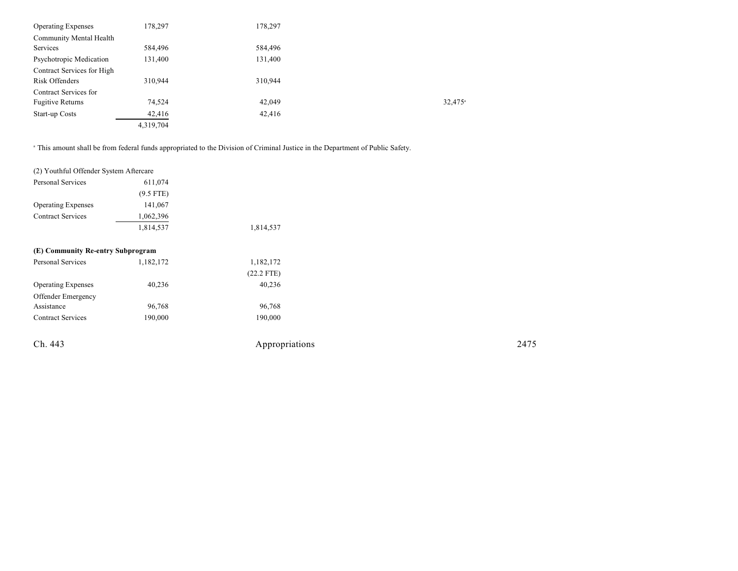| <b>Operating Expenses</b>  | 178,297   | 178,297 |                       |
|----------------------------|-----------|---------|-----------------------|
| Community Mental Health    |           |         |                       |
| Services                   | 584,496   | 584,496 |                       |
| Psychotropic Medication    | 131,400   | 131,400 |                       |
| Contract Services for High |           |         |                       |
| Risk Offenders             | 310.944   | 310,944 |                       |
| Contract Services for      |           |         |                       |
| <b>Fugitive Returns</b>    | 74,524    | 42,049  | $32,475$ <sup>a</sup> |
| Start-up Costs             | 42,416    | 42,416  |                       |
|                            | 4,319,704 |         |                       |

<sup>a</sup> This amount shall be from federal funds appropriated to the Division of Criminal Justice in the Department of Public Safety.

| (2) Youthful Offender System Aftercare |             |                |      |
|----------------------------------------|-------------|----------------|------|
| Personal Services                      | 611,074     |                |      |
|                                        | $(9.5$ FTE) |                |      |
| <b>Operating Expenses</b>              | 141,067     |                |      |
| <b>Contract Services</b>               | 1,062,396   |                |      |
|                                        | 1,814,537   | 1,814,537      |      |
| (E) Community Re-entry Subprogram      |             |                |      |
| Personal Services                      | 1,182,172   | 1,182,172      |      |
|                                        |             | $(22.2$ FTE)   |      |
| <b>Operating Expenses</b>              | 40,236      | 40,236         |      |
| Offender Emergency                     |             |                |      |
| Assistance                             | 96,768      | 96,768         |      |
| <b>Contract Services</b>               | 190,000     | 190,000        |      |
| Ch. 443                                |             | Appropriations | 2475 |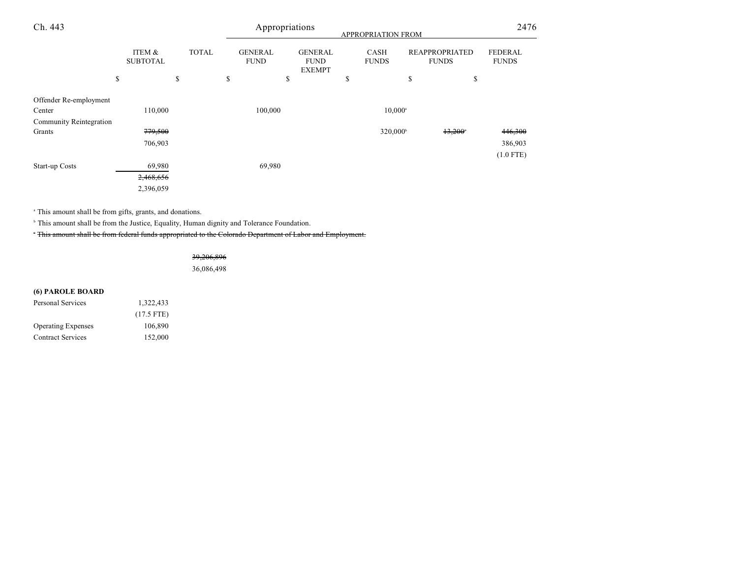| Ch. 443                        |    |                           | Appropriations<br>APPROPRIATION FROM |                               |    |                                                |    | 2476                        |                                       |                                |
|--------------------------------|----|---------------------------|--------------------------------------|-------------------------------|----|------------------------------------------------|----|-----------------------------|---------------------------------------|--------------------------------|
|                                |    | ITEM &<br><b>SUBTOTAL</b> | <b>TOTAL</b>                         | <b>GENERAL</b><br><b>FUND</b> |    | <b>GENERAL</b><br><b>FUND</b><br><b>EXEMPT</b> |    | <b>CASH</b><br><b>FUNDS</b> | <b>REAPPROPRIATED</b><br><b>FUNDS</b> | <b>FEDERAL</b><br><b>FUNDS</b> |
|                                | \$ |                           | \$                                   | \$                            | \$ |                                                | \$ |                             | \$<br>\$                              |                                |
| Offender Re-employment         |    |                           |                                      |                               |    |                                                |    |                             |                                       |                                |
| Center                         |    | 110,000                   |                                      | 100,000                       |    |                                                |    | $10,000^{\circ}$            |                                       |                                |
| <b>Community Reintegration</b> |    |                           |                                      |                               |    |                                                |    |                             |                                       |                                |
| Grants                         |    | 779,500                   |                                      |                               |    |                                                |    | 320,000 <sup>b</sup>        | 13,200                                | 446,300                        |
|                                |    | 706,903                   |                                      |                               |    |                                                |    |                             |                                       | 386,903                        |
|                                |    |                           |                                      |                               |    |                                                |    |                             |                                       | $(1.0$ FTE)                    |
| Start-up Costs                 |    | 69,980                    |                                      | 69,980                        |    |                                                |    |                             |                                       |                                |
|                                |    | 2,468,656                 |                                      |                               |    |                                                |    |                             |                                       |                                |
|                                |    | 2,396,059                 |                                      |                               |    |                                                |    |                             |                                       |                                |

<sup>a</sup> This amount shall be from gifts, grants, and donations.

<sup>b</sup> This amount shall be from the Justice, Equality, Human dignity and Tolerance Foundation.

This amount shall be from federal funds appropriated to the Colorado Department of Labor and Employment. <sup>c</sup>

39,206,896

36,086,498

# **(6) PAROLE BOARD**

| Personal Services         | 1,322,433    |
|---------------------------|--------------|
|                           | $(17.5$ FTE) |
| <b>Operating Expenses</b> | 106.890      |
| <b>Contract Services</b>  | 152,000      |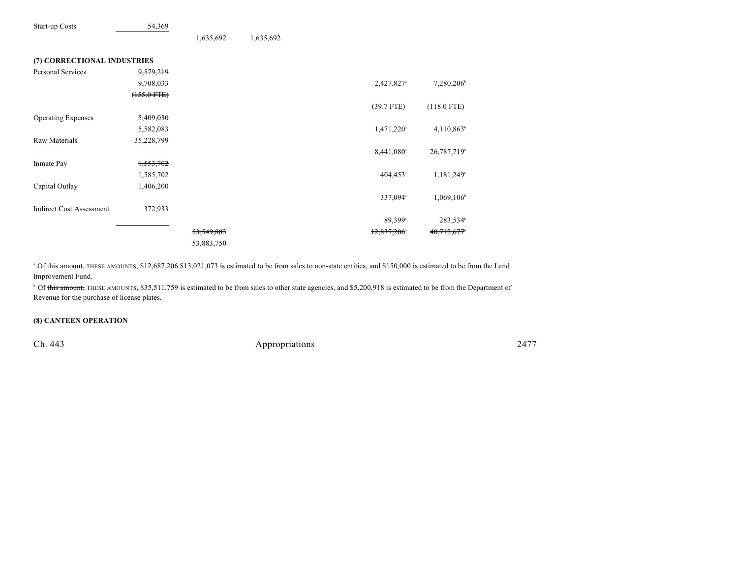| Start-up Costs                  | 54,369           |              |           |                           |                         |
|---------------------------------|------------------|--------------|-----------|---------------------------|-------------------------|
|                                 |                  | 1,635,692    | 1,635,692 |                           |                         |
| (7) CORRECTIONAL INDUSTRIES     |                  |              |           |                           |                         |
| Personal Services               | 9,579,219        |              |           |                           |                         |
|                                 | 9,708,033        |              |           | 2,427,827 <sup>a</sup>    | 7,280,206               |
|                                 | $(155.0$ FTE $)$ |              |           |                           |                         |
|                                 |                  |              |           | $(39.7$ FTE)              | $(118.0$ FTE)           |
| <b>Operating Expenses</b>       | 5,409,030        |              |           |                           |                         |
|                                 | 5,582,083        |              |           | 1,471,220 <sup>a</sup>    | $4,110,863^b$           |
| <b>Raw Materials</b>            | 35,228,799       |              |           |                           |                         |
|                                 |                  |              |           | 8,441,080 <sup>a</sup>    | 26,787,719 <sup>b</sup> |
| Inmate Pay                      | 1,553,702        |              |           |                           |                         |
|                                 | 1,585,702        |              |           | 404,453 <sup>a</sup>      | 1,181,249 <sup>b</sup>  |
| Capital Outlay                  | 1,406,200        |              |           |                           |                         |
|                                 |                  |              |           | 337,094 <sup>a</sup>      | 1,069,106               |
| <b>Indirect Cost Assessment</b> | 372,933          |              |           |                           |                         |
|                                 |                  |              |           | 89,399 <sup>a</sup>       | 283,534 <sup>b</sup>    |
|                                 |                  | 53, 549, 883 |           | $12,837,206$ <sup>*</sup> | 40,712,677              |
|                                 |                  | 53,883,750   |           |                           |                         |

<sup>o</sup> Of this amount, THESE AMOUNTS, \$12,687,206 \$13,021,073 is estimated to be from sales to non-state entities, and \$150,000 is estimated to be from the Land Improvement Fund.

<sup>b</sup> Of this amount, THESE AMOUNTS, \$35,511,759 is estimated to be from sales to other state agencies, and \$5,200,918 is estimated to be from the Department of Revenue for the purchase of license plates.

#### **(8) CANTEEN OPERATION**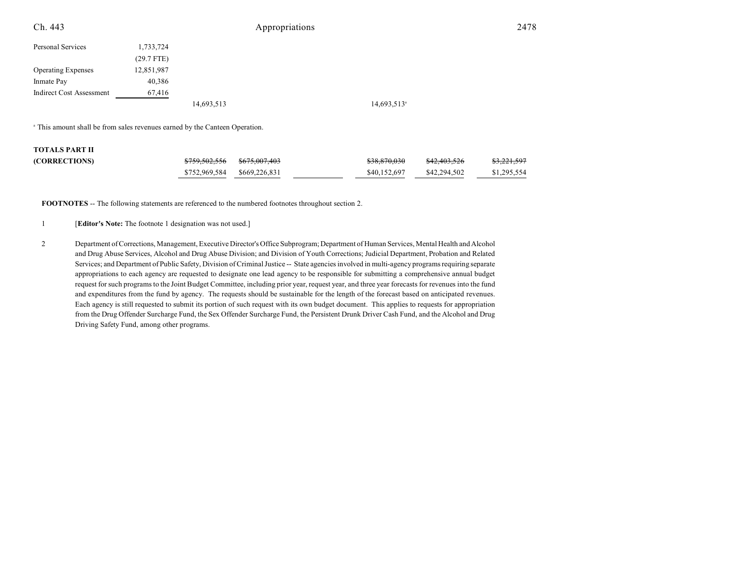| Ch. 443                         |              |            | Appropriations |                         | 2478 |
|---------------------------------|--------------|------------|----------------|-------------------------|------|
| Personal Services               | 1,733,724    |            |                |                         |      |
|                                 | $(29.7$ FTE) |            |                |                         |      |
| <b>Operating Expenses</b>       | 12,851,987   |            |                |                         |      |
| Inmate Pay                      | 40,386       |            |                |                         |      |
| <b>Indirect Cost Assessment</b> | 67,416       |            |                |                         |      |
|                                 |              | 14,693,513 |                | 14,693,513 <sup>a</sup> |      |

<sup>a</sup> This amount shall be from sales revenues earned by the Canteen Operation.

# **TOTALS PART II**

| .                    |                             |              |                         |             |
|----------------------|-----------------------------|--------------|-------------------------|-------------|
| <b>(CORRECTIONS)</b> |                             | \$38,870,030 | <del>\$42.403.526</del> | \$3,221,597 |
|                      | \$752,969,584 \$669,226,831 | \$40,152,697 | \$42,294,502            | \$1,295,554 |

**FOOTNOTES** -- The following statements are referenced to the numbered footnotes throughout section 2.

1 [**Editor's Note:** The footnote 1 designation was not used.]

2 Department of Corrections, Management, Executive Director's Office Subprogram; Department of Human Services, Mental Health and Alcohol and Drug Abuse Services, Alcohol and Drug Abuse Division; and Division of Youth Corrections; Judicial Department, Probation and Related Services; and Department of Public Safety, Division of Criminal Justice -- State agenciesinvolved in multi-agency programs requiring separate appropriations to each agency are requested to designate one lead agency to be responsible for submitting a comprehensive annual budget request forsuch programs to the Joint Budget Committee, including prior year, request year, and three year forecasts for revenues into the fund and expenditures from the fund by agency. The requests should be sustainable for the length of the forecast based on anticipated revenues. Each agency is still requested to submit its portion of such request with its own budget document. This applies to requests for appropriation from the Drug Offender Surcharge Fund, the Sex Offender Surcharge Fund, the Persistent Drunk Driver Cash Fund, and the Alcohol and Drug Driving Safety Fund, among other programs.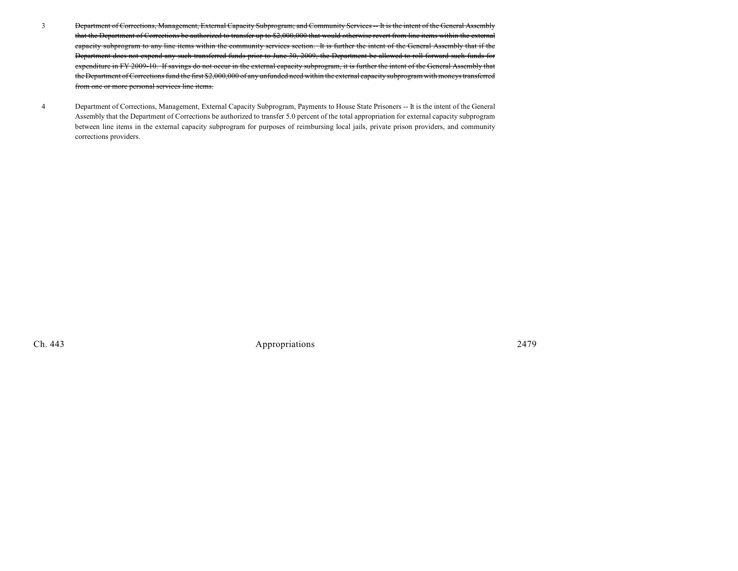- 3 Department of Corrections, Management, External Capacity Subprogram; and Community Services -- It is the intent of the General Assembly that the Department of Corrections be authorized to transfer up to \$2,000,000 that would otherwise revert from line items within the external capacity subprogram to any line items within the community services section. It is further the intent of the General Assembly that if the Department does not expend any such transferred funds prior to June 30, 2009, the Department be allowed to roll forward such funds for expenditure in FY 2009-10. If savings do not occur in the external capacity subprogram, it is further the intent of the General Assembly that the Department of Corrections fund the first \$2,000,000 of any unfunded need within the external capacity subprogram with moneys transferred from one or more personal services line items.
- 4 Department of Corrections, Management, External Capacity Subprogram, Payments to House State Prisoners -- It is the intent of the General Assembly that the Department of Corrections be authorized to transfer 5.0 percent of the total appropriation for external capacity subprogram between line items in the external capacity subprogram for purposes of reimbursing local jails, private prison providers, and community corrections providers.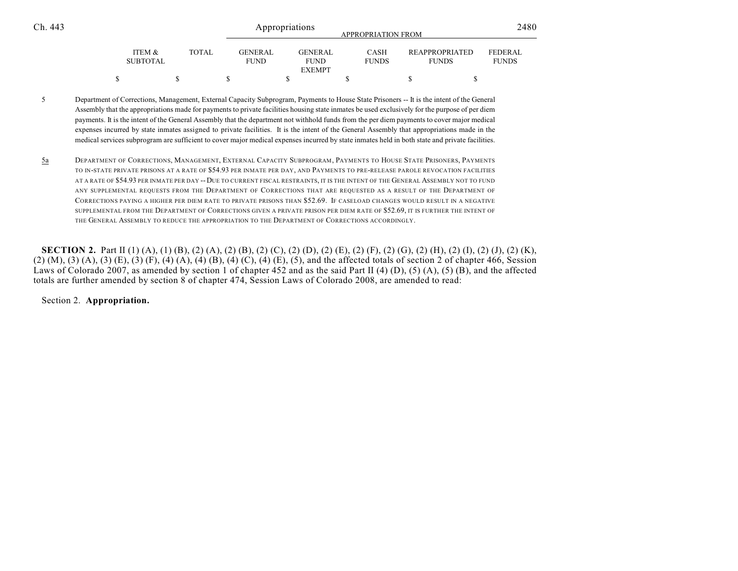| Ch. 443 | Appropriations<br><b>APPROPRIATION FROM</b> |       |                               |                                         |                             |                                       |                         |  |  |
|---------|---------------------------------------------|-------|-------------------------------|-----------------------------------------|-----------------------------|---------------------------------------|-------------------------|--|--|
|         | ITEM &<br>SUBTOTAL                          | TOTAL | <b>GENERAL</b><br><b>FUND</b> | GENERAL<br><b>FUND</b><br><b>EXEMPT</b> | <b>CASH</b><br><b>FUNDS</b> | <b>REAPPROPRIATED</b><br><b>FUNDS</b> | FEDERAL<br><b>FUNDS</b> |  |  |
|         |                                             |       |                               |                                         |                             |                                       |                         |  |  |

- 5 Department of Corrections, Management, External Capacity Subprogram, Payments to House State Prisoners -- It is the intent of the General Assembly that the appropriations made for payments to private facilities housing state inmates be used exclusively for the purpose of per diem payments. It is the intent of the General Assembly that the department not withhold funds from the per diem payments to cover major medical expenses incurred by state inmates assigned to private facilities. It is the intent of the General Assembly that appropriations made in the medical services subprogram are sufficient to cover major medical expenses incurred by state inmates held in both state and private facilities.
- 5a DEPARTMENT OF CORRECTIONS, MANAGEMENT, EXTERNAL CAPACITY SUBPROGRAM, PAYMENTS TO HOUSE STATE PRISONERS, PAYMENTS TO IN-STATE PRIVATE PRISONS AT A RATE OF \$54.93 PER INMATE PER DAY, AND PAYMENTS TO PRE-RELEASE PAROLE REVOCATION FACILITIES AT A RATE OF \$54.93 PER INMATE PER DAY -- DUE TO CURRENT FISCAL RESTRAINTS, IT IS THE INTENT OF THE GENERAL ASSEMBLY NOT TO FUND ANY SUPPLEMENTAL REQUESTS FROM THE DEPARTMENT OF CORRECTIONS THAT ARE REQUESTED AS A RESULT OF THE DEPARTMENT OF CORRECTIONS PAYING A HIGHER PER DIEM RATE TO PRIVATE PRISONS THAN \$52.69. IF CASELOAD CHANGES WOULD RESULT IN A NEGATIVE SUPPLEMENTAL FROM THE DEPARTMENT OF CORRECTIONS GIVEN A PRIVATE PRISON PER DIEM RATE OF \$52.69, IT IS FURTHER THE INTENT OF THE GENERAL ASSEMBLY TO REDUCE THE APPROPRIATION TO THE DEPARTMENT OF CORRECTIONS ACCORDINGLY.

**SECTION 2.** Part II (1) (A), (1) (B), (2) (A), (2) (B), (2) (C), (2) (D), (2) (E), (2) (F), (2) (G), (2) (H), (2) (I), (2) (J), (2) (K), (2) (M), (3) (A), (3) (E), (3) (F), (4) (A), (4) (B), (4) (C), (4) (E), (5), and the affected totals of section 2 of chapter 466, Session Laws of Colorado 2007, as amended by section 1 of chapter 452 and as the said Part II (4) (D), (5) (A), (5) (B), and the affected totals are further amended by section 8 of chapter 474, Session Laws of Colorado 2008, are amended to read:

Section 2. **Appropriation.**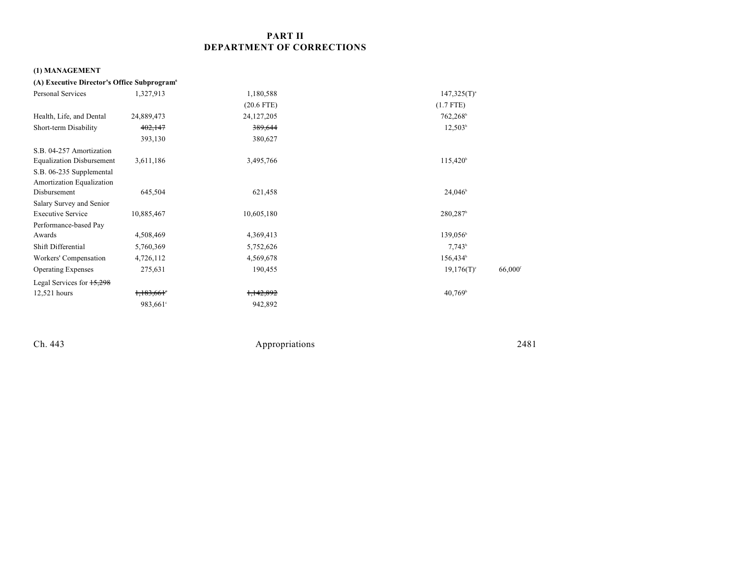# **PART II DEPARTMENT OF CORRECTIONS**

# **(1) MANAGEMENT**

| (A) Executive Director's Office Subprogram <sup>6</sup> |                      |              |                                    |
|---------------------------------------------------------|----------------------|--------------|------------------------------------|
| <b>Personal Services</b>                                | 1,327,913            | 1,180,588    | $147,325(T)^{a}$                   |
|                                                         |                      | $(20.6$ FTE) | $(1.7$ FTE)                        |
| Health, Life, and Dental                                | 24,889,473           | 24, 127, 205 | 762,268 <sup>b</sup>               |
| Short-term Disability                                   | 402,147              | 389,644      | $12,503^{\circ}$                   |
|                                                         | 393,130              | 380,627      |                                    |
| S.B. 04-257 Amortization                                |                      |              |                                    |
| <b>Equalization Disbursement</b>                        | 3,611,186            | 3,495,766    | $115,420^{\circ}$                  |
| S.B. 06-235 Supplemental<br>Amortization Equalization   |                      |              |                                    |
| Disbursement                                            | 645,504              | 621,458      | $24,046^{\circ}$                   |
| Salary Survey and Senior                                |                      |              |                                    |
| <b>Executive Service</b>                                | 10,885,467           | 10,605,180   | $280,287$ <sup>b</sup>             |
| Performance-based Pay                                   |                      |              |                                    |
| Awards                                                  | 4,508,469            | 4,369,413    | 139,056 <sup>b</sup>               |
| Shift Differential                                      | 5,760,369            | 5,752,626    | $7,743^b$                          |
| Workers' Compensation                                   | 4,726,112            | 4,569,678    | 156,434 <sup>b</sup>               |
| <b>Operating Expenses</b>                               | 275,631              | 190,455      | 66,000<br>$19,176(T)$ <sup>c</sup> |
| Legal Services for 15,298                               |                      |              |                                    |
| 12,521 hours                                            | 1,183,661            | 1,142,892    | $40,769$ <sup>b</sup>              |
|                                                         | 983,661 <sup>°</sup> | 942,892      |                                    |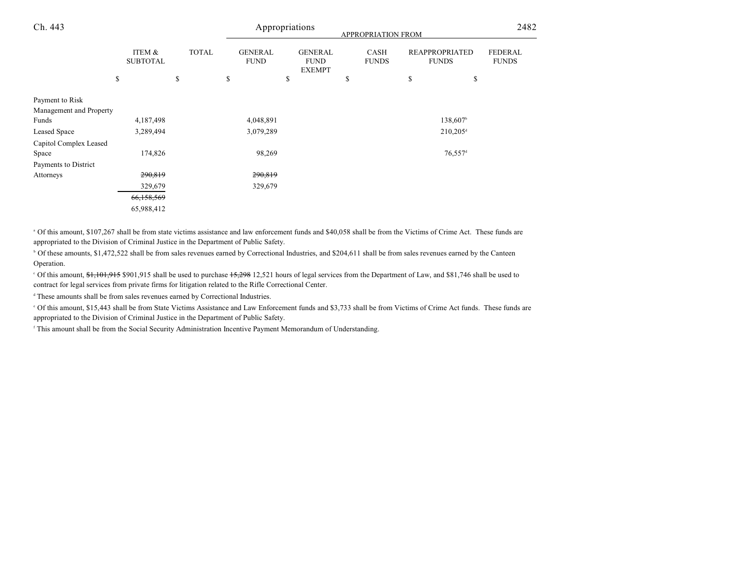| Ch. 443                 |                           |              |                               | Appropriations                                 | APPROPRIATION FROM          |                                       | 2482                           |
|-------------------------|---------------------------|--------------|-------------------------------|------------------------------------------------|-----------------------------|---------------------------------------|--------------------------------|
|                         | ITEM &<br><b>SUBTOTAL</b> | <b>TOTAL</b> | <b>GENERAL</b><br><b>FUND</b> | <b>GENERAL</b><br><b>FUND</b><br><b>EXEMPT</b> | <b>CASH</b><br><b>FUNDS</b> | <b>REAPPROPRIATED</b><br><b>FUNDS</b> | <b>FEDERAL</b><br><b>FUNDS</b> |
|                         | \$                        | \$           | \$                            | \$                                             | \$                          | \$<br>\$                              |                                |
| Payment to Risk         |                           |              |                               |                                                |                             |                                       |                                |
| Management and Property |                           |              |                               |                                                |                             |                                       |                                |
| Funds                   | 4,187,498                 |              | 4,048,891                     |                                                |                             | 138,607 <sup>b</sup>                  |                                |
| Leased Space            | 3,289,494                 |              | 3,079,289                     |                                                |                             | $210,205$ <sup>d</sup>                |                                |
| Capitol Complex Leased  |                           |              |                               |                                                |                             |                                       |                                |
| Space                   | 174,826                   |              | 98,269                        |                                                |                             | $76,557$ <sup>d</sup>                 |                                |
| Payments to District    |                           |              |                               |                                                |                             |                                       |                                |
| Attorneys               | 290,819                   |              | 290,819                       |                                                |                             |                                       |                                |
|                         | 329,679                   |              | 329,679                       |                                                |                             |                                       |                                |
|                         | 66,158,569                |              |                               |                                                |                             |                                       |                                |
|                         | 65,988,412                |              |                               |                                                |                             |                                       |                                |

<sup>a</sup> Of this amount, \$107,267 shall be from state victims assistance and law enforcement funds and \$40,058 shall be from the Victims of Crime Act. These funds are appropriated to the Division of Criminal Justice in the Department of Public Safety.

<sup>b</sup> Of these amounts, \$1,472,522 shall be from sales revenues earned by Correctional Industries, and \$204,611 shall be from sales revenues earned by the Canteen Operation.

<sup>o</sup> Of this amount, <del>\$1,101,915</del> \$901,915 shall be used to purchase 15,298 12,521 hours of legal services from the Department of Law, and \$81,746 shall be used to contract for legal services from private firms for litigation related to the Rifle Correctional Center.

<sup>d</sup> These amounts shall be from sales revenues earned by Correctional Industries.

 Of this amount, \$15,443 shall be from State Victims Assistance and Law Enforcement funds and \$3,733 shall be from Victims of Crime Act funds. These funds are <sup>e</sup> appropriated to the Division of Criminal Justice in the Department of Public Safety.

<sup>f</sup> This amount shall be from the Social Security Administration Incentive Payment Memorandum of Understanding.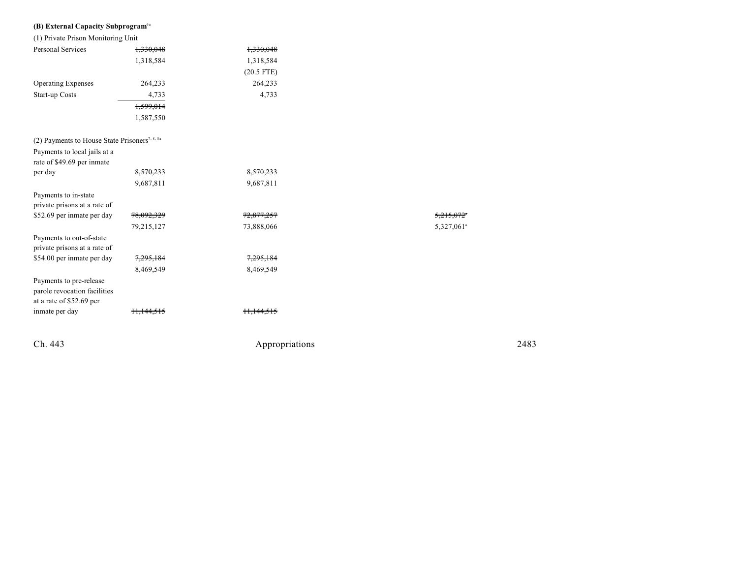| (B) External Capacity Subprogram <sup>6a</sup> |           |                      |
|------------------------------------------------|-----------|----------------------|
| (1) Private Prison Monitoring Unit             |           |                      |
| Personal Services                              | 1.330.048 | <del>1,330,048</del> |
|                                                | 1.318.584 | 1.318.584            |

|                                                                                     |                      | $(20.5$ FTE)          |                        |
|-------------------------------------------------------------------------------------|----------------------|-----------------------|------------------------|
| <b>Operating Expenses</b>                                                           | 264,233              | 264,233               |                        |
| Start-up Costs                                                                      | 4,733                | 4,733                 |                        |
|                                                                                     | 1,599,014            |                       |                        |
|                                                                                     | 1,587,550            |                       |                        |
| (2) Payments to House State Prisoners <sup>7, 8, 8a</sup>                           |                      |                       |                        |
| Payments to local jails at a                                                        |                      |                       |                        |
| rate of \$49.69 per inmate                                                          |                      |                       |                        |
| per day                                                                             | 8,570,233            | 8,570,233             |                        |
|                                                                                     | 9,687,811            | 9,687,811             |                        |
| Payments to in-state                                                                |                      |                       |                        |
| private prisons at a rate of                                                        |                      |                       |                        |
| \$52.69 per inmate per day                                                          | 78,092,329           | <del>72,877,257</del> | 5.215.072              |
|                                                                                     | 79,215,127           | 73,888,066            | 5,327,061 <sup>a</sup> |
| Payments to out-of-state<br>private prisons at a rate of                            |                      |                       |                        |
| \$54.00 per inmate per day                                                          | 7,295,184            | 7,295,184             |                        |
|                                                                                     | 8,469,549            | 8,469,549             |                        |
| Payments to pre-release<br>parole revocation facilities<br>at a rate of \$52.69 per |                      |                       |                        |
| inmate per day                                                                      | <del>: 11.144.</del> |                       |                        |
|                                                                                     |                      |                       |                        |

Ch. 443

Appropr iat

ions 2483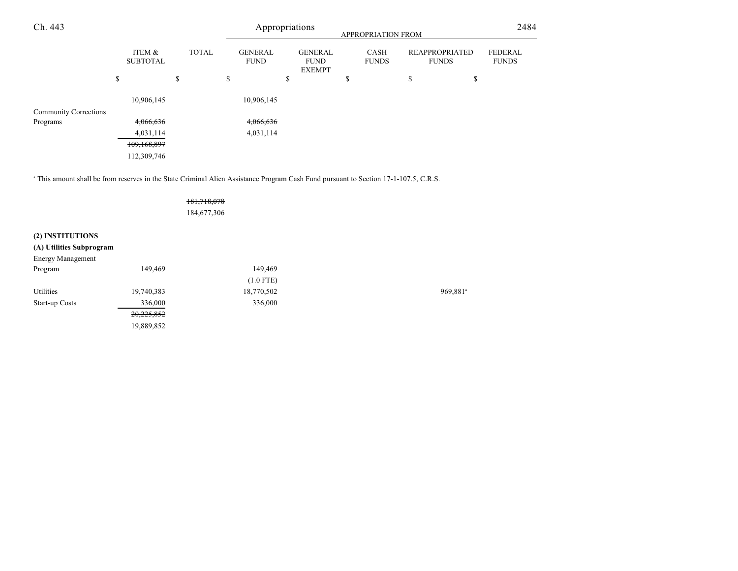| Ch. 443                      |    |                           | Appropriations<br>APPROPRIATION FROM |              |    |                               | 2484 |                                                |   |                             |                                       |                                |
|------------------------------|----|---------------------------|--------------------------------------|--------------|----|-------------------------------|------|------------------------------------------------|---|-----------------------------|---------------------------------------|--------------------------------|
|                              |    | ITEM &<br><b>SUBTOTAL</b> |                                      | <b>TOTAL</b> |    | <b>GENERAL</b><br><b>FUND</b> |      | <b>GENERAL</b><br><b>FUND</b><br><b>EXEMPT</b> |   | <b>CASH</b><br><b>FUNDS</b> | <b>REAPPROPRIATED</b><br><b>FUNDS</b> | <b>FEDERAL</b><br><b>FUNDS</b> |
|                              | \$ |                           | \$                                   |              | \$ |                               | \$   |                                                | Φ |                             | \$<br>\$                              |                                |
|                              |    | 10,906,145                |                                      |              |    | 10,906,145                    |      |                                                |   |                             |                                       |                                |
| <b>Community Corrections</b> |    |                           |                                      |              |    |                               |      |                                                |   |                             |                                       |                                |
| Programs                     |    | 4,066,636                 |                                      |              |    | 4,066,636                     |      |                                                |   |                             |                                       |                                |
|                              |    | 4,031,114                 |                                      |              |    | 4,031,114                     |      |                                                |   |                             |                                       |                                |
|                              |    | 109,168,897               |                                      |              |    |                               |      |                                                |   |                             |                                       |                                |
|                              |    | 112,309,746               |                                      |              |    |                               |      |                                                |   |                             |                                       |                                |

<sup>a</sup> This amount shall be from reserves in the State Criminal Alien Assistance Program Cash Fund pursuant to Section 17-1-107.5, C.R.S.

|                          |            | 181,718,078 |                      |
|--------------------------|------------|-------------|----------------------|
|                          |            | 184,677,306 |                      |
| (2) INSTITUTIONS         |            |             |                      |
| (A) Utilities Subprogram |            |             |                      |
| Energy Management        |            |             |                      |
| Program                  | 149,469    | 149,469     |                      |
|                          |            | $(1.0$ FTE) |                      |
| Utilities                | 19,740,383 | 18,770,502  | 969,881 <sup>s</sup> |
| Start-up Costs           | 336,000    | 336,000     |                      |
|                          | 20,225,852 |             |                      |
|                          | 19,889,852 |             |                      |
|                          |            |             |                      |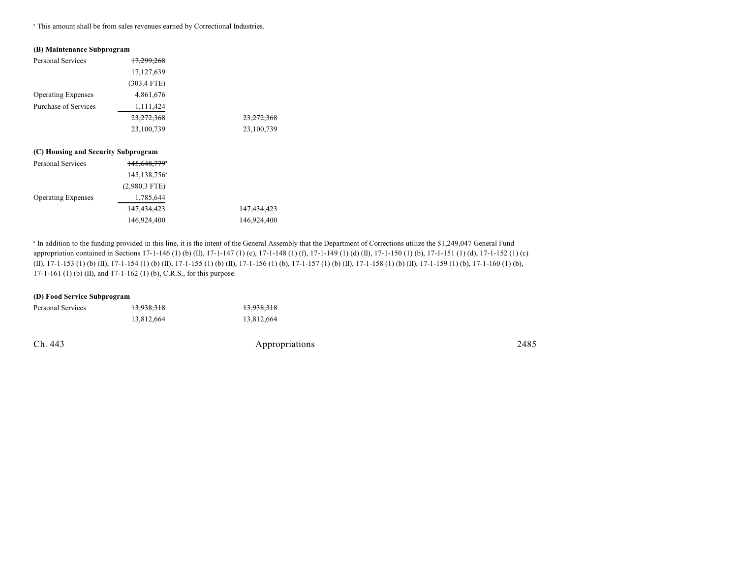<sup>a</sup> This amount shall be from sales revenues earned by Correctional Industries.

#### **(B) Maintenance Subprogram**

| Personal Services                   | <del>17.299.268</del>    |                        |
|-------------------------------------|--------------------------|------------------------|
|                                     | 17, 127, 639             |                        |
|                                     | $(303.4$ FTE)            |                        |
| <b>Operating Expenses</b>           | 4,861,676                |                        |
| Purchase of Services                | 1,111,424                |                        |
|                                     | 23,272,368               | <del>23,272,368</del>  |
|                                     | 23,100,739               | 23,100,739             |
|                                     |                          |                        |
| (C) Housing and Security Subprogram |                          |                        |
| <b>Personal Services</b>            | 145.648.779°             |                        |
|                                     | 145,138,756 <sup>a</sup> |                        |
|                                     | $(2,980.3$ FTE)          |                        |
| <b>Operating Expenses</b>           | 1,785,644                |                        |
|                                     | <del>147,434,423</del>   | <del>147,434,423</del> |
|                                     | 146,924,400              | 146,924,400            |
|                                     |                          |                        |

<sup>a</sup> In addition to the funding provided in this line, it is the intent of the General Assembly that the Department of Corrections utilize the \$1,249,047 General Fund appropriation contained in Sections 17-1-146 (1) (b) (II), 17-1-147 (1) (c), 17-1-148 (1) (f), 17-1-149 (1) (d) (II), 17-1-150 (1) (b), 17-1-151 (1) (d), 17-1-152 (1) (c) (II), 17-1-153 (1) (b) (II), 17-1-154 (1) (b) (II), 17-1-155 (1) (b) (II), 17-1-156 (1) (b), 17-1-157 (1) (b) (II), 17-1-158 (1) (b) (II), 17-1-159 (1) (b), 17-1-160 (1) (b), 17-1-161 (1) (b) (II), and 17-1-162 (1) (b), C.R.S., for this purpose.

#### **(D) Food Service Subprogram**

| Personal Services | 13,938,318 | <del>13,938,318</del> |
|-------------------|------------|-----------------------|
|                   | 13.812.664 | 13.812.664            |
|                   |            |                       |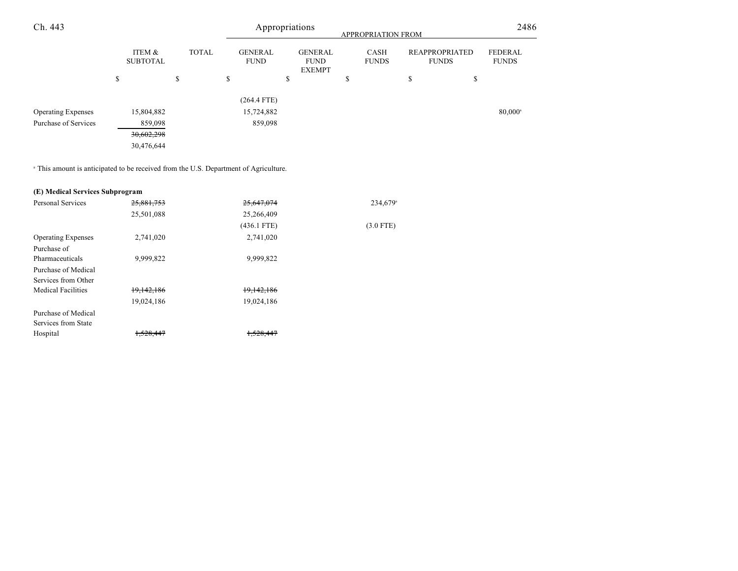| Ch. 443                   |                           |              |                               | Appropriations                                 | APPROPRIATION FROM          |                                       | 2486                           |
|---------------------------|---------------------------|--------------|-------------------------------|------------------------------------------------|-----------------------------|---------------------------------------|--------------------------------|
|                           | ITEM &<br><b>SUBTOTAL</b> | <b>TOTAL</b> | <b>GENERAL</b><br><b>FUND</b> | <b>GENERAL</b><br><b>FUND</b><br><b>EXEMPT</b> | <b>CASH</b><br><b>FUNDS</b> | <b>REAPPROPRIATED</b><br><b>FUNDS</b> | <b>FEDERAL</b><br><b>FUNDS</b> |
|                           | \$                        | \$           | \$                            | \$                                             | Ф                           | \$<br>\$                              |                                |
|                           |                           |              | $(264.4$ FTE)                 |                                                |                             |                                       |                                |
| <b>Operating Expenses</b> | 15,804,882                |              | 15,724,882                    |                                                |                             |                                       | $80,000^{\circ}$               |
| Purchase of Services      | 859,098                   |              | 859,098                       |                                                |                             |                                       |                                |
|                           | 30,602,298                |              |                               |                                                |                             |                                       |                                |
|                           | 30,476,644                |              |                               |                                                |                             |                                       |                                |

<sup>a</sup> This amount is anticipated to be received from the U.S. Department of Agriculture.

# **(E) Medical Services Subprogram**

| Personal Services         | 25,881,753           | 25,647,074    | 234,679 <sup>a</sup> |
|---------------------------|----------------------|---------------|----------------------|
|                           | 25,501,088           | 25,266,409    |                      |
|                           |                      | $(436.1$ FTE) | $(3.0$ FTE)          |
| <b>Operating Expenses</b> | 2,741,020            | 2,741,020     |                      |
| Purchase of               |                      |               |                      |
| Pharmaceuticals           | 9,999,822            | 9,999,822     |                      |
| Purchase of Medical       |                      |               |                      |
| Services from Other       |                      |               |                      |
| <b>Medical Facilities</b> | 19,142,186           | 19,142,186    |                      |
|                           | 19,024,186           | 19,024,186    |                      |
| Purchase of Medical       |                      |               |                      |
| Services from State       |                      |               |                      |
| Hospital                  | <del>1.528.447</del> | 500117        |                      |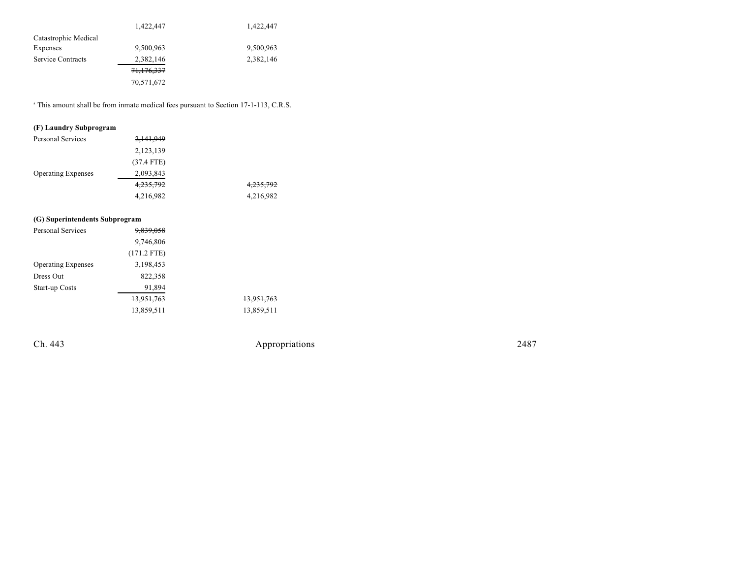|                      | 1,422,447  | 1,422,447 |
|----------------------|------------|-----------|
| Catastrophic Medical |            |           |
| Expenses             | 9,500,963  | 9,500,963 |
| Service Contracts    | 2,382,146  | 2,382,146 |
|                      | 71,176,337 |           |
|                      | 70,571,672 |           |

<sup>a</sup> This amount shall be from inmate medical fees pursuant to Section 17-1-113, C.R.S.

# **(F) Laundry Subprogram**

| <b>Personal Services</b>  | 2,141,949            |                      |
|---------------------------|----------------------|----------------------|
|                           | 2,123,139            |                      |
|                           | $(37.4$ FTE)         |                      |
| <b>Operating Expenses</b> | 2,093,843            |                      |
|                           | <del>4,235,792</del> | <del>4,235,792</del> |
|                           | 4,216,982            | 4,216,982            |
|                           |                      |                      |

# **(G) Superintendents Subprogram**

| Personal Services         | <del>9,839,058</del> |            |
|---------------------------|----------------------|------------|
|                           | 9,746,806            |            |
|                           | $(171.2$ FTE)        |            |
| <b>Operating Expenses</b> | 3,198,453            |            |
| Dress Out                 | 822,358              |            |
| <b>Start-up Costs</b>     | 91,894               |            |
|                           | 13,951,763           | 13,951,763 |
|                           | 13,859,511           | 13,859,511 |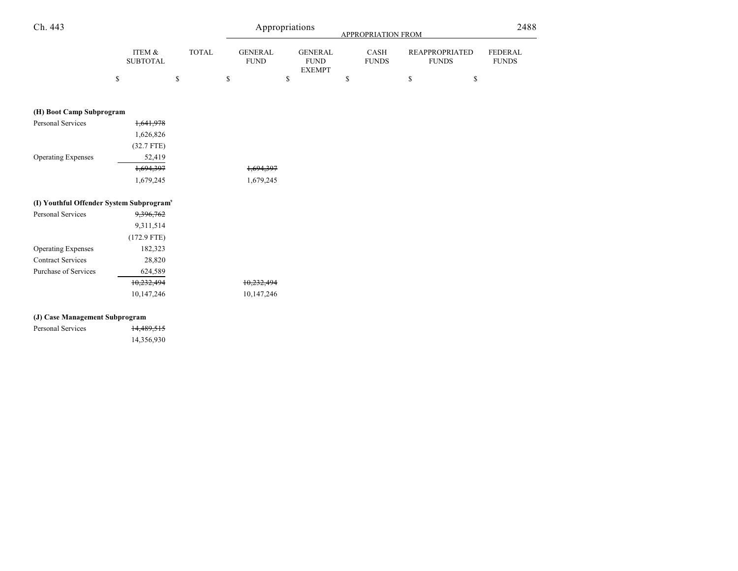| Ch. 443                                              |                           |    |              | Appropriations                |    |                                                |    | APPROPRIATION FROM   |    |                                       |                                |
|------------------------------------------------------|---------------------------|----|--------------|-------------------------------|----|------------------------------------------------|----|----------------------|----|---------------------------------------|--------------------------------|
|                                                      | ITEM &<br><b>SUBTOTAL</b> |    | <b>TOTAL</b> | <b>GENERAL</b><br><b>FUND</b> |    | <b>GENERAL</b><br><b>FUND</b><br><b>EXEMPT</b> |    | CASH<br><b>FUNDS</b> |    | <b>REAPPROPRIATED</b><br><b>FUNDS</b> | <b>FEDERAL</b><br><b>FUNDS</b> |
|                                                      | \$                        | \$ |              | \$                            | \$ |                                                | \$ |                      | \$ | \$                                    |                                |
| (H) Boot Camp Subprogram                             |                           |    |              |                               |    |                                                |    |                      |    |                                       |                                |
| Personal Services                                    | 1,641,978                 |    |              |                               |    |                                                |    |                      |    |                                       |                                |
|                                                      | 1,626,826                 |    |              |                               |    |                                                |    |                      |    |                                       |                                |
|                                                      | $(32.7$ FTE)              |    |              |                               |    |                                                |    |                      |    |                                       |                                |
| <b>Operating Expenses</b>                            | 52,419                    |    |              |                               |    |                                                |    |                      |    |                                       |                                |
|                                                      | 1,694,397                 |    |              | 1,694,397                     |    |                                                |    |                      |    |                                       |                                |
|                                                      | 1,679,245                 |    |              | 1,679,245                     |    |                                                |    |                      |    |                                       |                                |
| (I) Youthful Offender System Subprogram <sup>9</sup> |                           |    |              |                               |    |                                                |    |                      |    |                                       |                                |
| Personal Services                                    | 9,396,762                 |    |              |                               |    |                                                |    |                      |    |                                       |                                |
|                                                      | 9,311,514                 |    |              |                               |    |                                                |    |                      |    |                                       |                                |
|                                                      | $(172.9$ FTE)             |    |              |                               |    |                                                |    |                      |    |                                       |                                |
| <b>Operating Expenses</b>                            | 182,323                   |    |              |                               |    |                                                |    |                      |    |                                       |                                |
| <b>Contract Services</b>                             | 28,820                    |    |              |                               |    |                                                |    |                      |    |                                       |                                |
| Purchase of Services                                 | 624,589                   |    |              |                               |    |                                                |    |                      |    |                                       |                                |
|                                                      | 10,232,494                |    |              | 10,232,494                    |    |                                                |    |                      |    |                                       |                                |
|                                                      | 10,147,246                |    |              | 10,147,246                    |    |                                                |    |                      |    |                                       |                                |

| Personal Services |  | 14,489,515 |
|-------------------|--|------------|
|                   |  | 14,356,930 |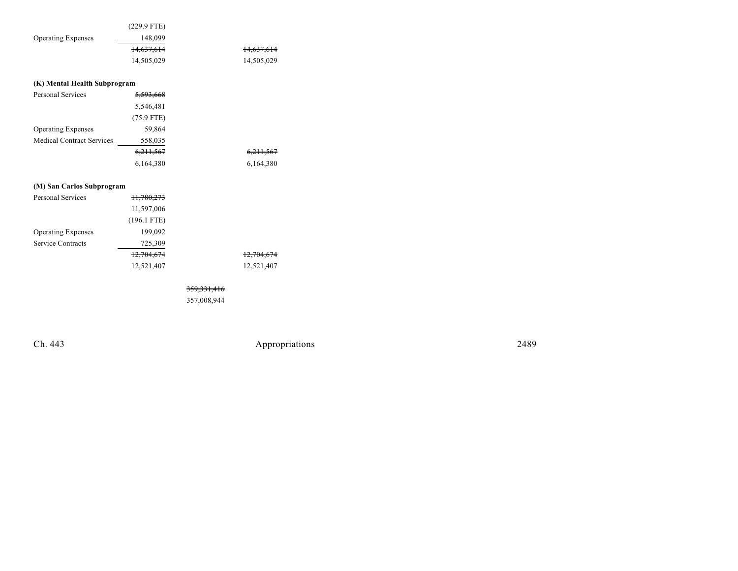|                           | $(229.9$ FTE) |            |
|---------------------------|---------------|------------|
| <b>Operating Expenses</b> | 148,099       |            |
|                           | 14,637,614    | 14,637,614 |
|                           | 14,505,029    | 14,505,029 |
|                           |               |            |

| (K) Mental Health Subprogram     |                      |                      |
|----------------------------------|----------------------|----------------------|
| <b>Personal Services</b>         | <del>5.593.668</del> |                      |
|                                  | 5,546,481            |                      |
|                                  | $(75.9$ FTE)         |                      |
| <b>Operating Expenses</b>        | 59,864               |                      |
| <b>Medical Contract Services</b> | 558,035              |                      |
|                                  | <del>6,211,567</del> | <del>6,211,567</del> |
|                                  | 6,164,380            | 6,164,380            |

| (M) San Carlos Subprogram |               |                       |
|---------------------------|---------------|-----------------------|
| Personal Services         | 11,780,273    |                       |
|                           | 11,597,006    |                       |
|                           | $(196.1$ FTE) |                       |
| <b>Operating Expenses</b> | 199,092       |                       |
| Service Contracts         | 725,309       |                       |
|                           | 12,704,674    | <del>12,704,674</del> |
|                           | 12,521,407    | 12.521.407            |

359,331,416

357,008,944

Ch. 443 Appropriations 2489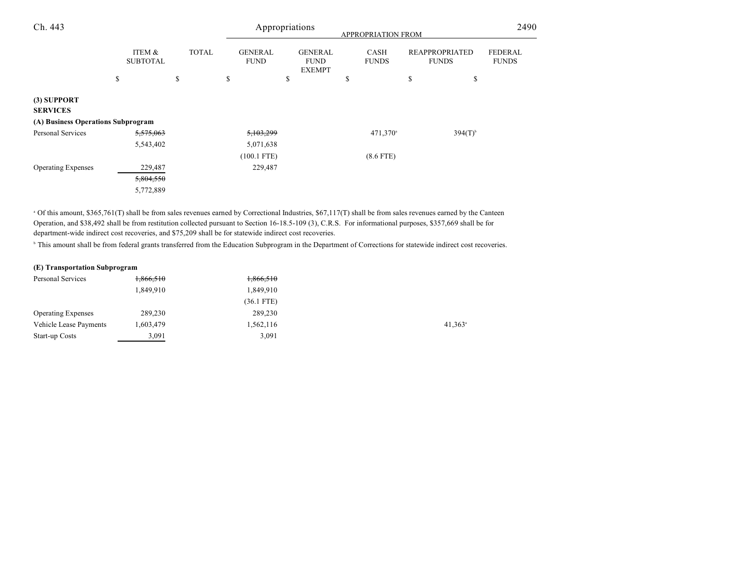| Ch. 443                            |    |                           | Appropriations<br>APPROPRIATION FROM |              |    |                               |    |                                                | 2490                        |    |                                       |                                |
|------------------------------------|----|---------------------------|--------------------------------------|--------------|----|-------------------------------|----|------------------------------------------------|-----------------------------|----|---------------------------------------|--------------------------------|
|                                    |    | ITEM &<br><b>SUBTOTAL</b> |                                      | <b>TOTAL</b> |    | <b>GENERAL</b><br><b>FUND</b> |    | <b>GENERAL</b><br><b>FUND</b><br><b>EXEMPT</b> | <b>CASH</b><br><b>FUNDS</b> |    | <b>REAPPROPRIATED</b><br><b>FUNDS</b> | <b>FEDERAL</b><br><b>FUNDS</b> |
|                                    | \$ |                           | \$                                   |              | \$ |                               | \$ |                                                | \$                          | \$ | \$                                    |                                |
| (3) SUPPORT<br><b>SERVICES</b>     |    |                           |                                      |              |    |                               |    |                                                |                             |    |                                       |                                |
| (A) Business Operations Subprogram |    |                           |                                      |              |    |                               |    |                                                |                             |    |                                       |                                |
| Personal Services                  |    | 5,575,063                 |                                      |              |    | 5,103,299                     |    |                                                | 471,370 <sup>a</sup>        |    | $394(T)^{b}$                          |                                |
|                                    |    | 5,543,402                 |                                      |              |    | 5,071,638                     |    |                                                |                             |    |                                       |                                |
|                                    |    |                           |                                      |              |    | $(100.1$ FTE)                 |    |                                                | $(8.6$ FTE)                 |    |                                       |                                |
| <b>Operating Expenses</b>          |    | 229,487                   |                                      |              |    | 229,487                       |    |                                                |                             |    |                                       |                                |
|                                    |    | 5,804,550                 |                                      |              |    |                               |    |                                                |                             |    |                                       |                                |
|                                    |    | 5,772,889                 |                                      |              |    |                               |    |                                                |                             |    |                                       |                                |

<sup>a</sup> Of this amount, \$365,761(T) shall be from sales revenues earned by Correctional Industries, \$67,117(T) shall be from sales revenues earned by the Canteen Operation, and \$38,492 shall be from restitution collected pursuant to Section 16-18.5-109 (3), C.R.S. For informational purposes, \$357,669 shall be for department-wide indirect cost recoveries, and \$75,209 shall be for statewide indirect cost recoveries.

<sup>b</sup> This amount shall be from federal grants transferred from the Education Subprogram in the Department of Corrections for statewide indirect cost recoveries.

#### **(E) Transportation Subprogram**

| Personal Services         | 1,866,510 | 1,866,510    |                       |
|---------------------------|-----------|--------------|-----------------------|
|                           | 1,849,910 | 1,849,910    |                       |
|                           |           | $(36.1$ FTE) |                       |
| <b>Operating Expenses</b> | 289,230   | 289,230      |                       |
| Vehicle Lease Payments    | 1,603,479 | 1,562,116    | $41,363$ <sup>a</sup> |
| Start-up Costs            | 3,091     | 3,091        |                       |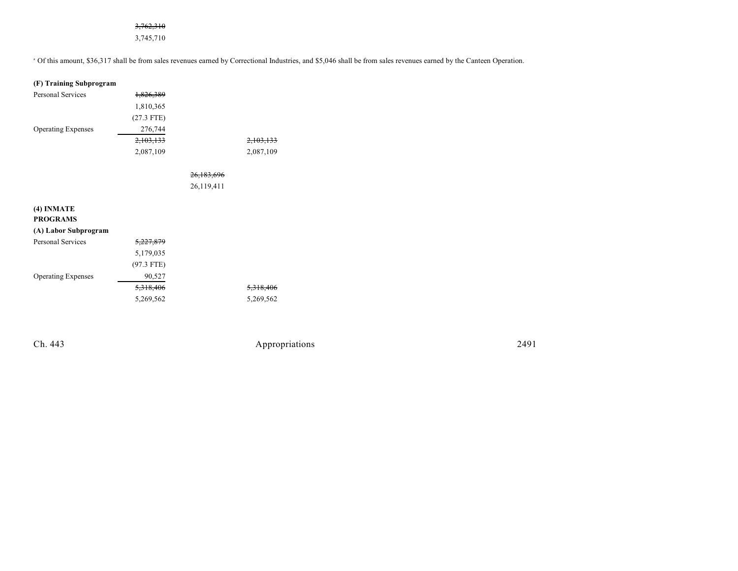# 3,762,310

3,745,710

<sup>a</sup> Of this amount, \$36,317 shall be from sales revenues earned by Correctional Industries, and \$5,046 shall be from sales revenues earned by the Canteen Operation.

| (F) Training Subprogram   |                      |                       |                      |
|---------------------------|----------------------|-----------------------|----------------------|
| <b>Personal Services</b>  | <del>1,826,389</del> |                       |                      |
|                           | 1,810,365            |                       |                      |
|                           | $(27.3$ FTE)         |                       |                      |
| <b>Operating Expenses</b> | 276,744              |                       |                      |
|                           | 2,103,133            |                       | <del>2,103,133</del> |
|                           | 2,087,109            |                       | 2,087,109            |
|                           |                      |                       |                      |
|                           |                      | <del>26,183,696</del> |                      |
|                           |                      | 26,119,411            |                      |
|                           |                      |                       |                      |
| (4) INMATE                |                      |                       |                      |
| <b>PROGRAMS</b>           |                      |                       |                      |
| (A) Labor Subprogram      |                      |                       |                      |
| <b>Personal Services</b>  | 5,227,879            |                       |                      |
|                           | 5,179,035            |                       |                      |
|                           | $(97.3$ FTE)         |                       |                      |
| <b>Operating Expenses</b> | 90,527               |                       |                      |
|                           | 5,318,406            |                       | <del>5,318,406</del> |
|                           | 5,269,562            |                       | 5,269,562            |
|                           |                      |                       |                      |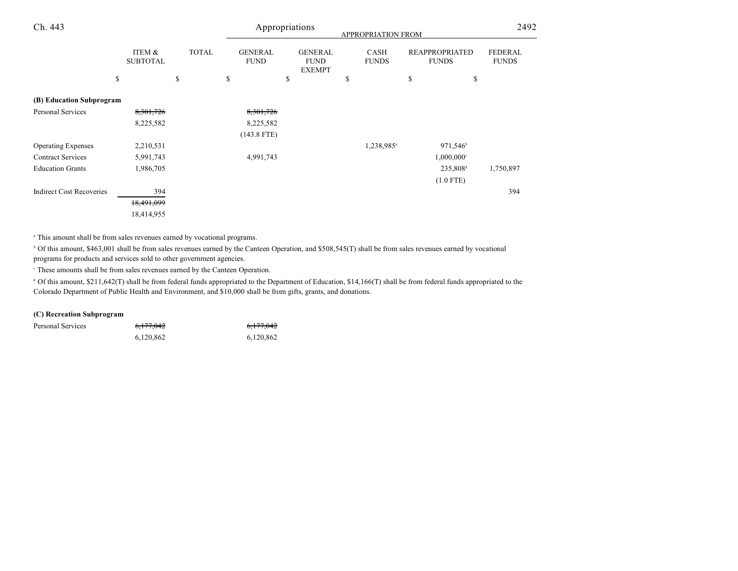| Ch. 443                         |                           | Appropriations<br>APPROPRIATION FROM |    |                               |    |                                                |    |                             |    | 2492                                  |                                |
|---------------------------------|---------------------------|--------------------------------------|----|-------------------------------|----|------------------------------------------------|----|-----------------------------|----|---------------------------------------|--------------------------------|
|                                 | ITEM &<br><b>SUBTOTAL</b> | <b>TOTAL</b>                         |    | <b>GENERAL</b><br><b>FUND</b> |    | <b>GENERAL</b><br><b>FUND</b><br><b>EXEMPT</b> |    | <b>CASH</b><br><b>FUNDS</b> |    | <b>REAPPROPRIATED</b><br><b>FUNDS</b> | <b>FEDERAL</b><br><b>FUNDS</b> |
|                                 | \$                        | \$                                   | \$ |                               | \$ |                                                | \$ |                             | \$ | \$                                    |                                |
| (B) Education Subprogram        |                           |                                      |    |                               |    |                                                |    |                             |    |                                       |                                |
| Personal Services               | 8, 301, 726               |                                      |    | 8,301,726                     |    |                                                |    |                             |    |                                       |                                |
|                                 | 8,225,582                 |                                      |    | 8,225,582                     |    |                                                |    |                             |    |                                       |                                |
|                                 |                           |                                      |    | $(143.8$ FTE)                 |    |                                                |    |                             |    |                                       |                                |
| <b>Operating Expenses</b>       | 2,210,531                 |                                      |    |                               |    |                                                |    | 1,238,985 <sup>a</sup>      |    | 971,546 <sup>b</sup>                  |                                |
| <b>Contract Services</b>        | 5,991,743                 |                                      |    | 4,991,743                     |    |                                                |    |                             |    | $1,000,000$ <sup>c</sup>              |                                |
| <b>Education Grants</b>         | 1,986,705                 |                                      |    |                               |    |                                                |    |                             |    | 235,808 <sup>d</sup>                  | 1,750,897                      |
|                                 |                           |                                      |    |                               |    |                                                |    |                             |    | $(1.0$ FTE)                           |                                |
| <b>Indirect Cost Recoveries</b> | 394                       |                                      |    |                               |    |                                                |    |                             |    |                                       | 394                            |
|                                 | 18,491,099                |                                      |    |                               |    |                                                |    |                             |    |                                       |                                |
|                                 | 18,414,955                |                                      |    |                               |    |                                                |    |                             |    |                                       |                                |

This amount shall be from sales revenues earned by vocational programs. <sup>a</sup>

<sup>b</sup> Of this amount, \$463,001 shall be from sales revenues earned by the Canteen Operation, and \$508,545(T) shall be from sales revenues earned by vocational programs for products and services sold to other government agencies.

These amounts shall be from sales revenues earned by the Canteen Operation. <sup>c</sup>

 $\text{d}$  Of this amount, \$211,642(T) shall be from federal funds appropriated to the Department of Education, \$14,166(T) shall be from federal funds appropriated to the Colorado Department of Public Health and Environment, and \$10,000 shall be from gifts, grants, and donations.

# **(C) Recreation Subprogram**

| Personal Services | <del>6,177,042</del> | <del>6,177,042</del> |
|-------------------|----------------------|----------------------|
|                   | 6,120,862            | 6,120,862            |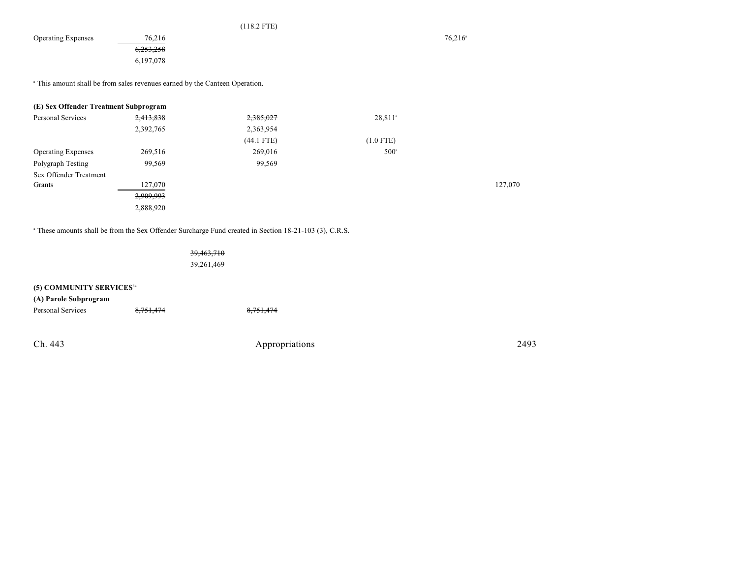| ν. | ┑          |
|----|------------|
| 1  | $\epsilon$ |

Operating Expenses 76,216 76,216 76,216 6,253,258 6,197,078

<sup>a</sup> This amount shall be from sales revenues earned by the Canteen Operation.

| (E) Sex Offender Treatment Subprogram |           |            |                     |         |
|---------------------------------------|-----------|------------|---------------------|---------|
| Personal Services                     | 2,413,838 | 2,385,027  | 28,811 <sup>a</sup> |         |
|                                       | 2,392,765 | 2,363,954  |                     |         |
|                                       |           | (44.1 FTE) | $(1.0$ FTE)         |         |
| <b>Operating Expenses</b>             | 269,516   | 269,016    | $500^{\circ}$       |         |
| Polygraph Testing                     | 99,569    | 99,569     |                     |         |
| Sex Offender Treatment                |           |            |                     |         |
| Grants                                | 127,070   |            |                     | 127,070 |
|                                       | 2,909,993 |            |                     |         |
|                                       | 2,888,920 |            |                     |         |

<sup>a</sup> These amounts shall be from the Sex Offender Surcharge Fund created in Section 18-21-103 (3), C.R.S.

39,463,710

39,261,469

| (5) COMMUNITY SERVICES <sup>6a</sup> |           |                |      |
|--------------------------------------|-----------|----------------|------|
| (A) Parole Subprogram                |           |                |      |
| Personal Services                    | 8,751,474 | 8,751,474      |      |
|                                      |           |                |      |
| Ch. 443                              |           | Appropriations | 2493 |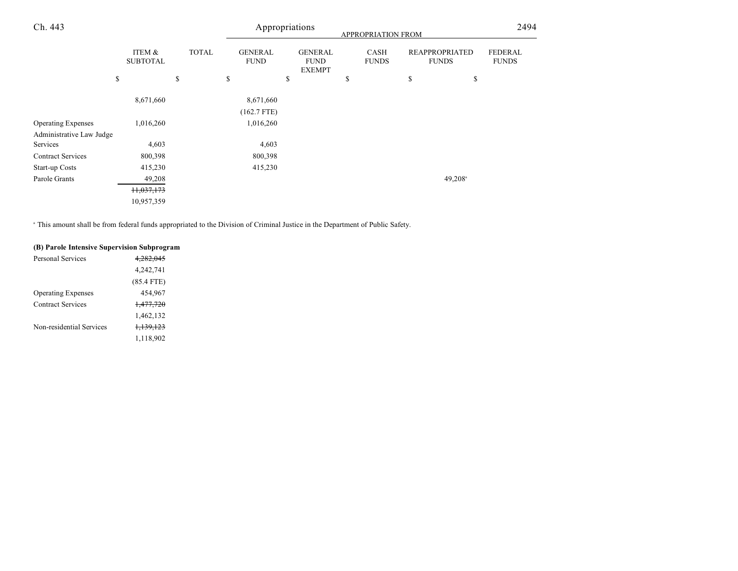| Ch. 443                   |                           |              |                               | Appropriations                                 | APPROPRIATION FROM   |                                       | 2494                           |
|---------------------------|---------------------------|--------------|-------------------------------|------------------------------------------------|----------------------|---------------------------------------|--------------------------------|
|                           | ITEM &<br><b>SUBTOTAL</b> | <b>TOTAL</b> | <b>GENERAL</b><br><b>FUND</b> | <b>GENERAL</b><br><b>FUND</b><br><b>EXEMPT</b> | CASH<br><b>FUNDS</b> | <b>REAPPROPRIATED</b><br><b>FUNDS</b> | <b>FEDERAL</b><br><b>FUNDS</b> |
|                           | \$                        | \$           | \$                            | \$                                             | \$                   | \$<br>\$                              |                                |
|                           | 8,671,660                 |              | 8,671,660                     |                                                |                      |                                       |                                |
|                           |                           |              | $(162.7$ FTE)                 |                                                |                      |                                       |                                |
| <b>Operating Expenses</b> | 1,016,260                 |              | 1,016,260                     |                                                |                      |                                       |                                |
| Administrative Law Judge  |                           |              |                               |                                                |                      |                                       |                                |
| Services                  | 4,603                     |              | 4,603                         |                                                |                      |                                       |                                |
| <b>Contract Services</b>  | 800,398                   |              | 800,398                       |                                                |                      |                                       |                                |
| Start-up Costs            | 415,230                   |              | 415,230                       |                                                |                      |                                       |                                |
| Parole Grants             | 49,208                    |              |                               |                                                |                      | $49,208$ <sup>a</sup>                 |                                |
|                           | 11,037,173                |              |                               |                                                |                      |                                       |                                |
|                           | 10,957,359                |              |                               |                                                |                      |                                       |                                |

<sup>a</sup> This amount shall be from federal funds appropriated to the Division of Criminal Justice in the Department of Public Safety.

# **(B) Parole Intensive Supervision Subprogram**

| <del>4.282.045</del> |
|----------------------|
| 4,242,741            |
| $(85.4$ FTE)         |
| 454.967              |
| <del>1,477,720</del> |
| 1,462,132            |
| <del>1,139,123</del> |
| 1,118,902            |
|                      |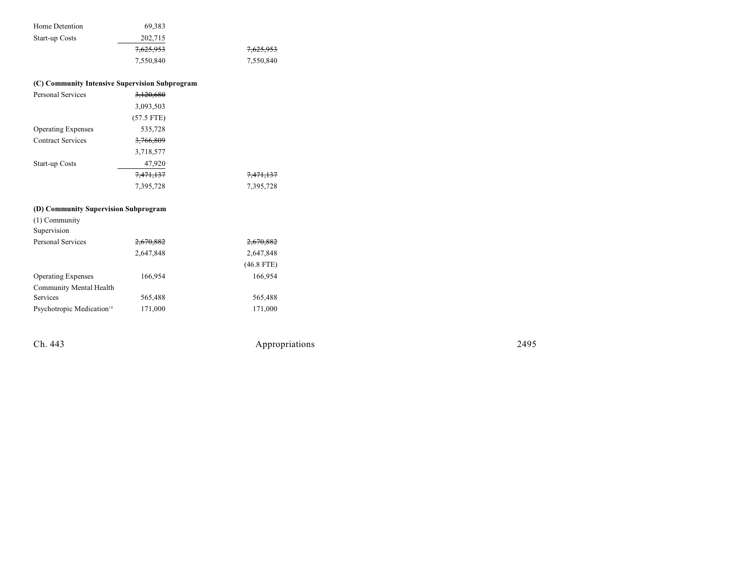| Home Detention | 69.383    |           |
|----------------|-----------|-----------|
| Start-up Costs | 202,715   |           |
|                | 7,625,953 | 7,625,953 |
|                | 7,550,840 | 7,550,840 |

#### **( C ) Com m u nity I n ten sive S u per vision S u b program**

| <b>Personal Services</b>  | 3,120,680    |                      |
|---------------------------|--------------|----------------------|
|                           | 3,093,503    |                      |
|                           | $(57.5$ FTE) |                      |
| <b>Operating Expenses</b> | 535,728      |                      |
| <b>Contract Services</b>  | 3,766,809    |                      |
|                           | 3,718,577    |                      |
| <b>Start-up Costs</b>     | 47,920       |                      |
|                           | 7,471,137    | <del>7,471,137</del> |
|                           | 7,395,728    | 7,395,728            |

#### **( D ) Com m u nity S u per vision S u b program**

| $(1)$ Community                       |           |              |
|---------------------------------------|-----------|--------------|
| Supervision                           |           |              |
| <b>Personal Services</b>              | 2,670,882 | 2,670,882    |
|                                       | 2,647,848 | 2,647,848    |
|                                       |           | $(46.8$ FTE) |
| <b>Operating Expenses</b>             | 166,954   | 166,954      |
| Community Mental Health               |           |              |
| Services                              | 565,488   | 565,488      |
| Psychotropic Medication <sup>10</sup> | 171,000   | 171,000      |
|                                       |           |              |

Ch. 443

Appropr iat

ions 2495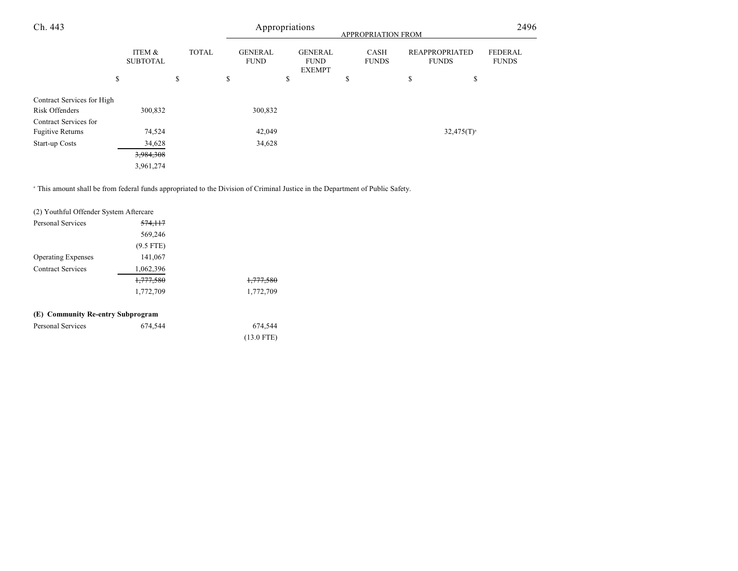| Ch. 443                                          |                           |              |                               | Appropriations                                 | APPROPRIATION FROM   | 2496                                  |                                |
|--------------------------------------------------|---------------------------|--------------|-------------------------------|------------------------------------------------|----------------------|---------------------------------------|--------------------------------|
|                                                  | ITEM &<br><b>SUBTOTAL</b> | <b>TOTAL</b> | <b>GENERAL</b><br><b>FUND</b> | <b>GENERAL</b><br><b>FUND</b><br><b>EXEMPT</b> | CASH<br><b>FUNDS</b> | <b>REAPPROPRIATED</b><br><b>FUNDS</b> | <b>FEDERAL</b><br><b>FUNDS</b> |
|                                                  | \$                        | \$           | \$                            | \$                                             | \$                   | \$<br>\$                              |                                |
| Contract Services for High<br>Risk Offenders     | 300,832                   |              | 300,832                       |                                                |                      |                                       |                                |
| Contract Services for<br><b>Fugitive Returns</b> | 74,524                    |              | 42,049                        |                                                |                      | $32,475(T)^{a}$                       |                                |
| Start-up Costs                                   | 34,628                    |              | 34,628                        |                                                |                      |                                       |                                |
|                                                  | 3,984,308                 |              |                               |                                                |                      |                                       |                                |
|                                                  | 3,961,274                 |              |                               |                                                |                      |                                       |                                |

<sup>a</sup> This amount shall be from federal funds appropriated to the Division of Criminal Justice in the Department of Public Safety.

| (2) Youthful Offender System Aftercare |             |                      |
|----------------------------------------|-------------|----------------------|
| <b>Personal Services</b>               | 574,117     |                      |
|                                        | 569,246     |                      |
|                                        | $(9.5$ FTE) |                      |
| <b>Operating Expenses</b>              | 141,067     |                      |
| <b>Contract Services</b>               | 1,062,396   |                      |
|                                        | 1,777,580   | <del>1,777,580</del> |
|                                        | 1,772,709   | 1,772,709            |
| (E) Community Re-entry Subprogram      |             |                      |
| <b>Personal Services</b>               | 674,544     | 674,544              |
|                                        |             | $(13.0$ FTE)         |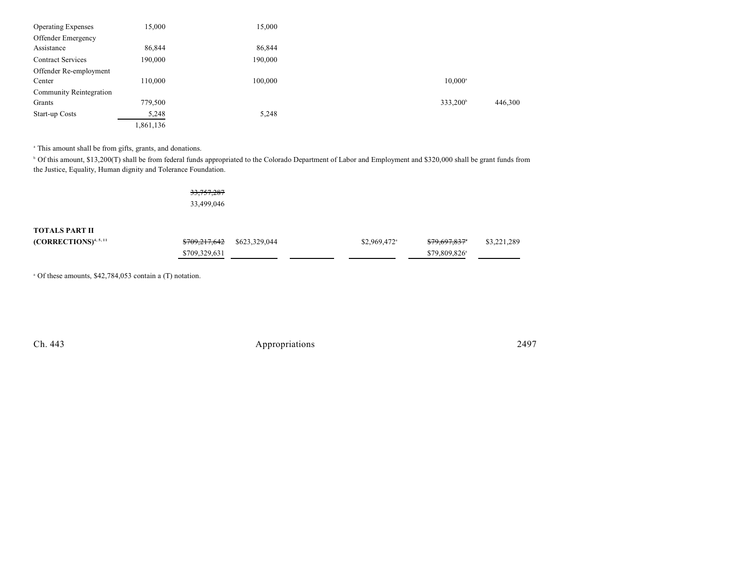| <b>Operating Expenses</b>      | 15,000    | 15,000  |                      |         |
|--------------------------------|-----------|---------|----------------------|---------|
| Offender Emergency             |           |         |                      |         |
| Assistance                     | 86,844    | 86,844  |                      |         |
| <b>Contract Services</b>       | 190,000   | 190,000 |                      |         |
| Offender Re-employment         |           |         |                      |         |
| Center                         | 110,000   | 100,000 | $10,000^{\circ}$     |         |
| <b>Community Reintegration</b> |           |         |                      |         |
| Grants                         | 779,500   |         | 333,200 <sup>b</sup> | 446,300 |
| Start-up Costs                 | 5,248     | 5,248   |                      |         |
|                                | 1,861,136 |         |                      |         |

<sup>a</sup> This amount shall be from gifts, grants, and donations.

<sup>b</sup> Of this amount, \$13,200(T) shall be from federal funds appropriated to the Colorado Department of Labor and Employment and \$320,000 shall be grant funds from the Justice, Equality, Human dignity and Tolerance Foundation.

> 33,757,287 33,499,046

**TOTALS PART II**

| $(CORRECTIONS)^{4, 5, 11}$ | \$709,217,642 \$623,329,044 | $$2,969,472$ <sup>a</sup> | <del>\$79,697,837</del> * | \$3,221,289 |
|----------------------------|-----------------------------|---------------------------|---------------------------|-------------|
|                            | \$709,329,631               |                           | \$79,809,826 <sup>a</sup> |             |

 $^{\circ}$  Of these amounts, \$42,784,053 contain a (T) notation.